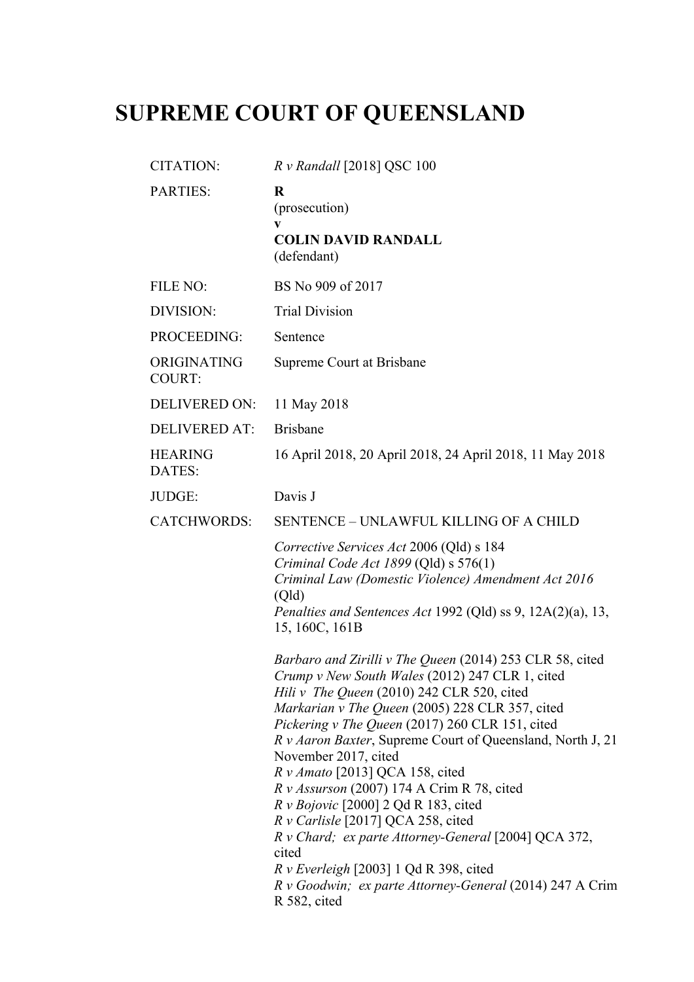## **SUPREME COURT OF QUEENSLAND**

| <b>CITATION:</b>             | R v Randall [2018] QSC 100                                                                                                                                                                                                                                                                                                                                                                                                                                                                                                                                                                                                                                                                                                                         |
|------------------------------|----------------------------------------------------------------------------------------------------------------------------------------------------------------------------------------------------------------------------------------------------------------------------------------------------------------------------------------------------------------------------------------------------------------------------------------------------------------------------------------------------------------------------------------------------------------------------------------------------------------------------------------------------------------------------------------------------------------------------------------------------|
| <b>PARTIES:</b>              | R<br>(prosecution)<br>$\mathbf{v}$                                                                                                                                                                                                                                                                                                                                                                                                                                                                                                                                                                                                                                                                                                                 |
|                              | <b>COLIN DAVID RANDALL</b><br>(defendant)                                                                                                                                                                                                                                                                                                                                                                                                                                                                                                                                                                                                                                                                                                          |
| FILE NO:                     | BS No 909 of 2017                                                                                                                                                                                                                                                                                                                                                                                                                                                                                                                                                                                                                                                                                                                                  |
| DIVISION:                    | <b>Trial Division</b>                                                                                                                                                                                                                                                                                                                                                                                                                                                                                                                                                                                                                                                                                                                              |
| PROCEEDING:                  | Sentence                                                                                                                                                                                                                                                                                                                                                                                                                                                                                                                                                                                                                                                                                                                                           |
| ORIGINATING<br><b>COURT:</b> | Supreme Court at Brisbane                                                                                                                                                                                                                                                                                                                                                                                                                                                                                                                                                                                                                                                                                                                          |
| <b>DELIVERED ON:</b>         | 11 May 2018                                                                                                                                                                                                                                                                                                                                                                                                                                                                                                                                                                                                                                                                                                                                        |
| <b>DELIVERED AT:</b>         | <b>Brisbane</b>                                                                                                                                                                                                                                                                                                                                                                                                                                                                                                                                                                                                                                                                                                                                    |
| <b>HEARING</b><br>DATES:     | 16 April 2018, 20 April 2018, 24 April 2018, 11 May 2018                                                                                                                                                                                                                                                                                                                                                                                                                                                                                                                                                                                                                                                                                           |
| JUDGE:                       | Davis J                                                                                                                                                                                                                                                                                                                                                                                                                                                                                                                                                                                                                                                                                                                                            |
| <b>CATCHWORDS:</b>           | SENTENCE - UNLAWFUL KILLING OF A CHILD                                                                                                                                                                                                                                                                                                                                                                                                                                                                                                                                                                                                                                                                                                             |
|                              | Corrective Services Act 2006 (Qld) s 184<br>Criminal Code Act 1899 (Qld) $s$ 576(1)<br>Criminal Law (Domestic Violence) Amendment Act 2016<br>(Qld)<br>Penalties and Sentences Act 1992 (Qld) ss 9, 12A(2)(a), 13,                                                                                                                                                                                                                                                                                                                                                                                                                                                                                                                                 |
|                              | 15, 160C, 161B                                                                                                                                                                                                                                                                                                                                                                                                                                                                                                                                                                                                                                                                                                                                     |
|                              | Barbaro and Zirilli v The Queen (2014) 253 CLR 58, cited<br>Crump v New South Wales (2012) 247 CLR 1, cited<br>Hili v The Queen (2010) 242 CLR 520, cited<br>Markarian v The Queen (2005) 228 CLR 357, cited<br>Pickering v The Queen (2017) 260 CLR 151, cited<br>R v Aaron Baxter, Supreme Court of Queensland, North J, 21<br>November 2017, cited<br>$Rv \, A \, \text{mato}$ [2013] QCA 158, cited<br>R v Assurson (2007) 174 A Crim R 78, cited<br>$R \nu$ <i>Bojovic</i> [2000] 2 Qd R 183, cited<br>R v Carlisle [2017] QCA 258, cited<br>R v Chard; ex parte Attorney-General [2004] QCA 372,<br>cited<br>$R$ v Everleigh [2003] 1 Qd R 398, cited<br>$R \text{ v }$ Goodwin; ex parte Attorney-General (2014) 247 A Crim<br>R 582, cited |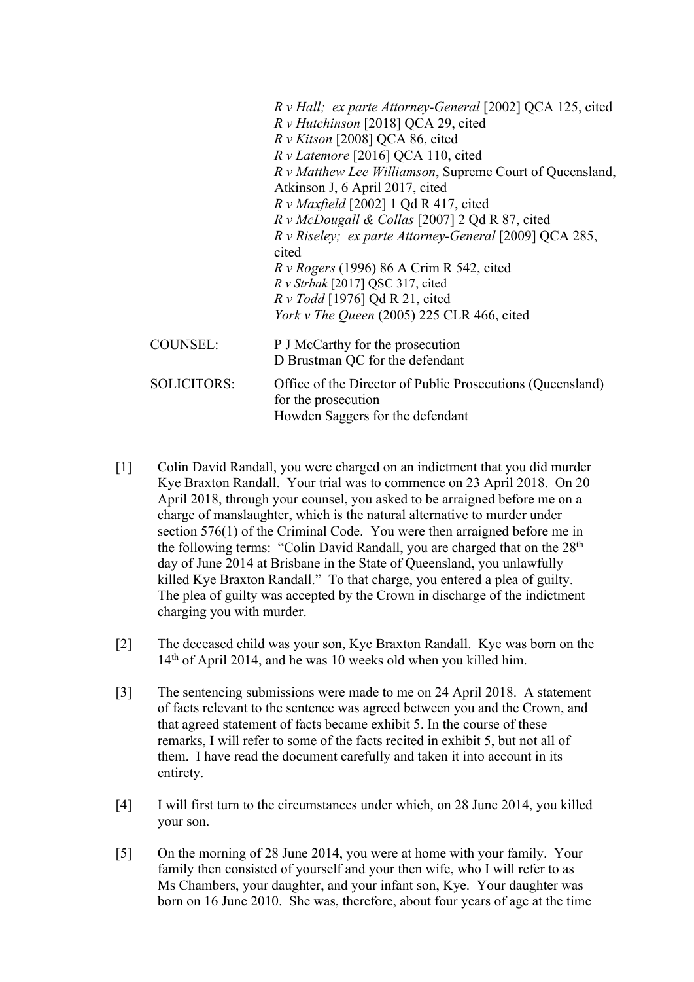|                    | R v Hall; ex parte Attorney-General [2002] QCA 125, cited                         |
|--------------------|-----------------------------------------------------------------------------------|
|                    | R v Hutchinson [2018] QCA 29, cited                                               |
|                    | $R \nu$ Kitson [2008] QCA 86, cited                                               |
|                    | R v Latemore [2016] QCA 110, cited                                                |
|                    | R v Matthew Lee Williamson, Supreme Court of Queensland,                          |
|                    | Atkinson J, 6 April 2017, cited                                                   |
|                    | $R v$ Maxfield [2002] 1 Qd R 417, cited                                           |
|                    | R v McDougall & Collas [2007] 2 Qd R 87, cited                                    |
|                    | R v Riseley; ex parte Attorney-General [2009] QCA 285,                            |
|                    | cited                                                                             |
|                    | $R$ v Rogers (1996) 86 A Crim R 542, cited                                        |
|                    | $R v$ Strbak [2017] QSC 317, cited                                                |
|                    | $R \nu$ Todd [1976] Qd R 21, cited                                                |
|                    | <i>York v The Queen</i> (2005) 225 CLR 466, cited                                 |
| COUNSEL:           | P J McCarthy for the prosecution                                                  |
|                    | D Brustman QC for the defendant                                                   |
| <b>SOLICITORS:</b> | Office of the Director of Public Prosecutions (Queensland)<br>for the prosecution |
|                    | Howden Saggers for the defendant                                                  |

- [1] Colin David Randall, you were charged on an indictment that you did murder Kye Braxton Randall. Your trial was to commence on 23 April 2018. On 20 April 2018, through your counsel, you asked to be arraigned before me on a charge of manslaughter, which is the natural alternative to murder under section 576(1) of the Criminal Code. You were then arraigned before me in the following terms: "Colin David Randall, you are charged that on the 28th day of June 2014 at Brisbane in the State of Queensland, you unlawfully killed Kye Braxton Randall." To that charge, you entered a plea of guilty. The plea of guilty was accepted by the Crown in discharge of the indictment charging you with murder.
- [2] The deceased child was your son, Kye Braxton Randall. Kye was born on the 14th of April 2014, and he was 10 weeks old when you killed him.
- [3] The sentencing submissions were made to me on 24 April 2018. A statement of facts relevant to the sentence was agreed between you and the Crown, and that agreed statement of facts became exhibit 5. In the course of these remarks, I will refer to some of the facts recited in exhibit 5, but not all of them. I have read the document carefully and taken it into account in its entirety.
- [4] I will first turn to the circumstances under which, on 28 June 2014, you killed your son.
- [5] On the morning of 28 June 2014, you were at home with your family. Your family then consisted of yourself and your then wife, who I will refer to as Ms Chambers, your daughter, and your infant son, Kye. Your daughter was born on 16 June 2010. She was, therefore, about four years of age at the time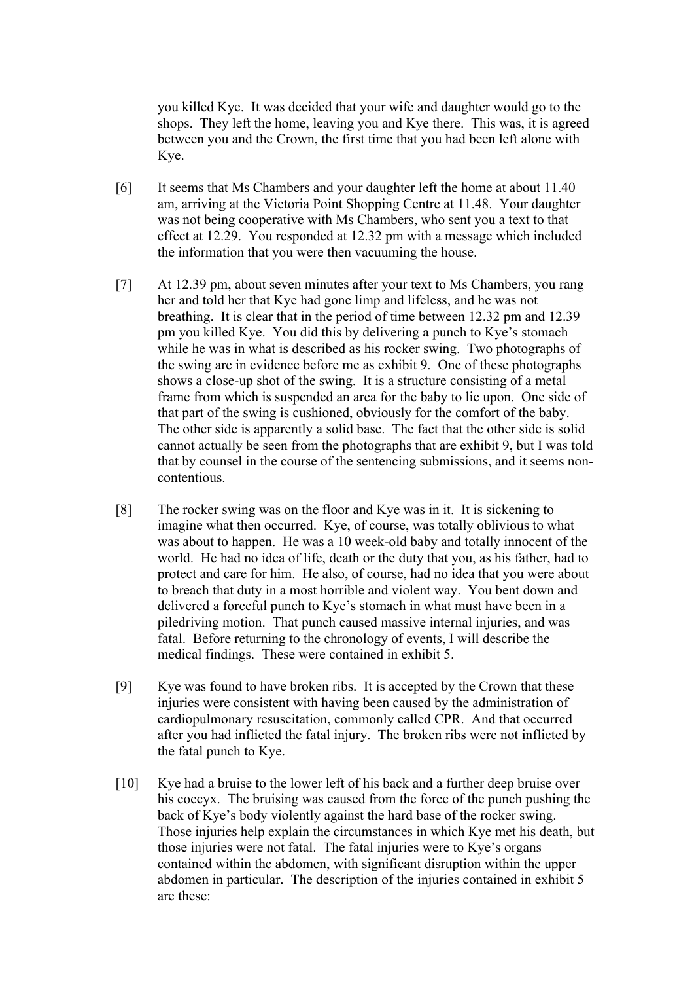you killed Kye. It was decided that your wife and daughter would go to the shops. They left the home, leaving you and Kye there. This was, it is agreed between you and the Crown, the first time that you had been left alone with Kye.

- [6] It seems that Ms Chambers and your daughter left the home at about 11.40 am, arriving at the Victoria Point Shopping Centre at 11.48. Your daughter was not being cooperative with Ms Chambers, who sent you a text to that effect at 12.29. You responded at 12.32 pm with a message which included the information that you were then vacuuming the house.
- [7] At 12.39 pm, about seven minutes after your text to Ms Chambers, you rang her and told her that Kye had gone limp and lifeless, and he was not breathing. It is clear that in the period of time between 12.32 pm and 12.39 pm you killed Kye. You did this by delivering a punch to Kye's stomach while he was in what is described as his rocker swing. Two photographs of the swing are in evidence before me as exhibit 9. One of these photographs shows a close-up shot of the swing. It is a structure consisting of a metal frame from which is suspended an area for the baby to lie upon. One side of that part of the swing is cushioned, obviously for the comfort of the baby. The other side is apparently a solid base. The fact that the other side is solid cannot actually be seen from the photographs that are exhibit 9, but I was told that by counsel in the course of the sentencing submissions, and it seems noncontentious.
- [8] The rocker swing was on the floor and Kye was in it. It is sickening to imagine what then occurred. Kye, of course, was totally oblivious to what was about to happen. He was a 10 week-old baby and totally innocent of the world. He had no idea of life, death or the duty that you, as his father, had to protect and care for him. He also, of course, had no idea that you were about to breach that duty in a most horrible and violent way. You bent down and delivered a forceful punch to Kye's stomach in what must have been in a piledriving motion. That punch caused massive internal injuries, and was fatal. Before returning to the chronology of events, I will describe the medical findings. These were contained in exhibit 5.
- [9] Kye was found to have broken ribs. It is accepted by the Crown that these injuries were consistent with having been caused by the administration of cardiopulmonary resuscitation, commonly called CPR. And that occurred after you had inflicted the fatal injury. The broken ribs were not inflicted by the fatal punch to Kye.
- [10] Kye had a bruise to the lower left of his back and a further deep bruise over his coccyx. The bruising was caused from the force of the punch pushing the back of Kye's body violently against the hard base of the rocker swing. Those injuries help explain the circumstances in which Kye met his death, but those injuries were not fatal. The fatal injuries were to Kye's organs contained within the abdomen, with significant disruption within the upper abdomen in particular. The description of the injuries contained in exhibit 5 are these: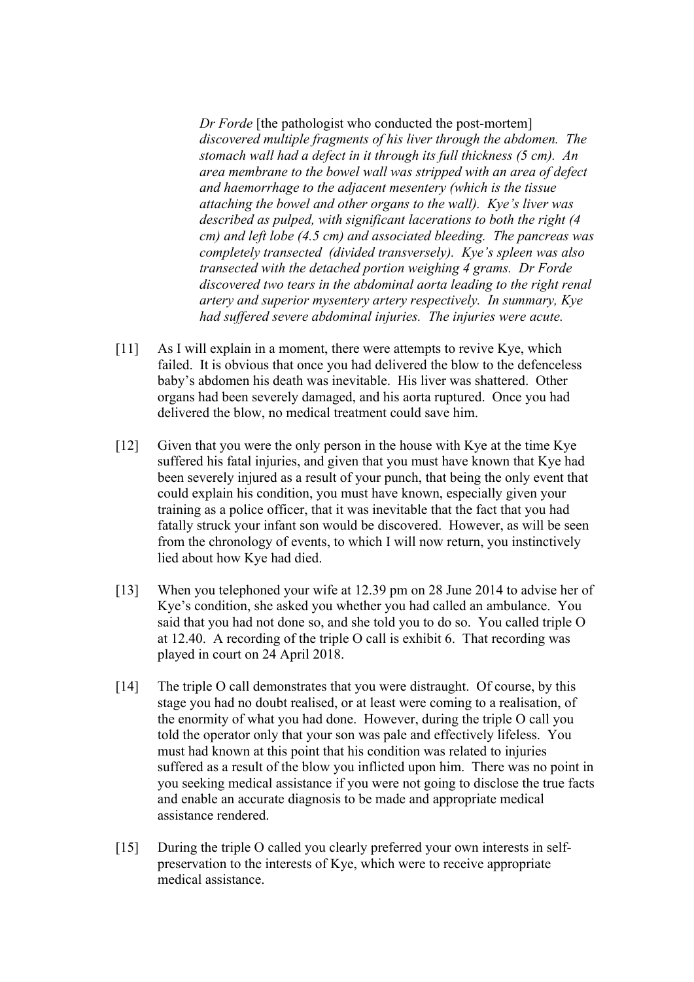*Dr Forde* [the pathologist who conducted the post-mortem] *discovered multiple fragments of his liver through the abdomen. The stomach wall had a defect in it through its full thickness (5 cm). An area membrane to the bowel wall was stripped with an area of defect and haemorrhage to the adjacent mesentery (which is the tissue attaching the bowel and other organs to the wall). Kye's liver was described as pulped, with significant lacerations to both the right (4 cm) and left lobe (4.5 cm) and associated bleeding. The pancreas was completely transected (divided transversely). Kye's spleen was also transected with the detached portion weighing 4 grams. Dr Forde discovered two tears in the abdominal aorta leading to the right renal artery and superior mysentery artery respectively. In summary, Kye had suffered severe abdominal injuries. The injuries were acute.* 

- [11] As I will explain in a moment, there were attempts to revive Kye, which failed. It is obvious that once you had delivered the blow to the defenceless baby's abdomen his death was inevitable. His liver was shattered. Other organs had been severely damaged, and his aorta ruptured. Once you had delivered the blow, no medical treatment could save him.
- [12] Given that you were the only person in the house with Kye at the time Kye suffered his fatal injuries, and given that you must have known that Kye had been severely injured as a result of your punch, that being the only event that could explain his condition, you must have known, especially given your training as a police officer, that it was inevitable that the fact that you had fatally struck your infant son would be discovered. However, as will be seen from the chronology of events, to which I will now return, you instinctively lied about how Kye had died.
- [13] When you telephoned your wife at 12.39 pm on 28 June 2014 to advise her of Kye's condition, she asked you whether you had called an ambulance. You said that you had not done so, and she told you to do so. You called triple O at 12.40. A recording of the triple O call is exhibit 6. That recording was played in court on 24 April 2018.
- [14] The triple O call demonstrates that you were distraught. Of course, by this stage you had no doubt realised, or at least were coming to a realisation, of the enormity of what you had done. However, during the triple O call you told the operator only that your son was pale and effectively lifeless. You must had known at this point that his condition was related to injuries suffered as a result of the blow you inflicted upon him. There was no point in you seeking medical assistance if you were not going to disclose the true facts and enable an accurate diagnosis to be made and appropriate medical assistance rendered.
- [15] During the triple O called you clearly preferred your own interests in selfpreservation to the interests of Kye, which were to receive appropriate medical assistance.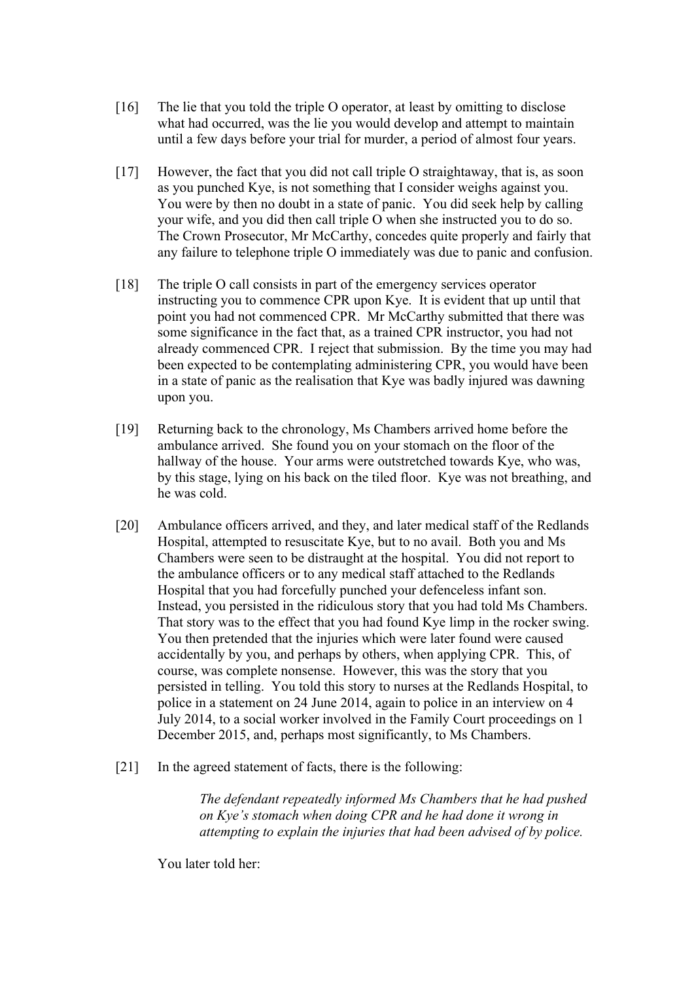- [16] The lie that you told the triple O operator, at least by omitting to disclose what had occurred, was the lie you would develop and attempt to maintain until a few days before your trial for murder, a period of almost four years.
- [17] However, the fact that you did not call triple O straightaway, that is, as soon as you punched Kye, is not something that I consider weighs against you. You were by then no doubt in a state of panic. You did seek help by calling your wife, and you did then call triple O when she instructed you to do so. The Crown Prosecutor, Mr McCarthy, concedes quite properly and fairly that any failure to telephone triple O immediately was due to panic and confusion.
- [18] The triple O call consists in part of the emergency services operator instructing you to commence CPR upon Kye. It is evident that up until that point you had not commenced CPR. Mr McCarthy submitted that there was some significance in the fact that, as a trained CPR instructor, you had not already commenced CPR. I reject that submission. By the time you may had been expected to be contemplating administering CPR, you would have been in a state of panic as the realisation that Kye was badly injured was dawning upon you.
- [19] Returning back to the chronology, Ms Chambers arrived home before the ambulance arrived. She found you on your stomach on the floor of the hallway of the house. Your arms were outstretched towards Kye, who was, by this stage, lying on his back on the tiled floor. Kye was not breathing, and he was cold.
- [20] Ambulance officers arrived, and they, and later medical staff of the Redlands Hospital, attempted to resuscitate Kye, but to no avail. Both you and Ms Chambers were seen to be distraught at the hospital. You did not report to the ambulance officers or to any medical staff attached to the Redlands Hospital that you had forcefully punched your defenceless infant son. Instead, you persisted in the ridiculous story that you had told Ms Chambers. That story was to the effect that you had found Kye limp in the rocker swing. You then pretended that the injuries which were later found were caused accidentally by you, and perhaps by others, when applying CPR. This, of course, was complete nonsense. However, this was the story that you persisted in telling. You told this story to nurses at the Redlands Hospital, to police in a statement on 24 June 2014, again to police in an interview on 4 July 2014, to a social worker involved in the Family Court proceedings on 1 December 2015, and, perhaps most significantly, to Ms Chambers.
- [21] In the agreed statement of facts, there is the following:

*The defendant repeatedly informed Ms Chambers that he had pushed on Kye's stomach when doing CPR and he had done it wrong in attempting to explain the injuries that had been advised of by police.* 

You later told her: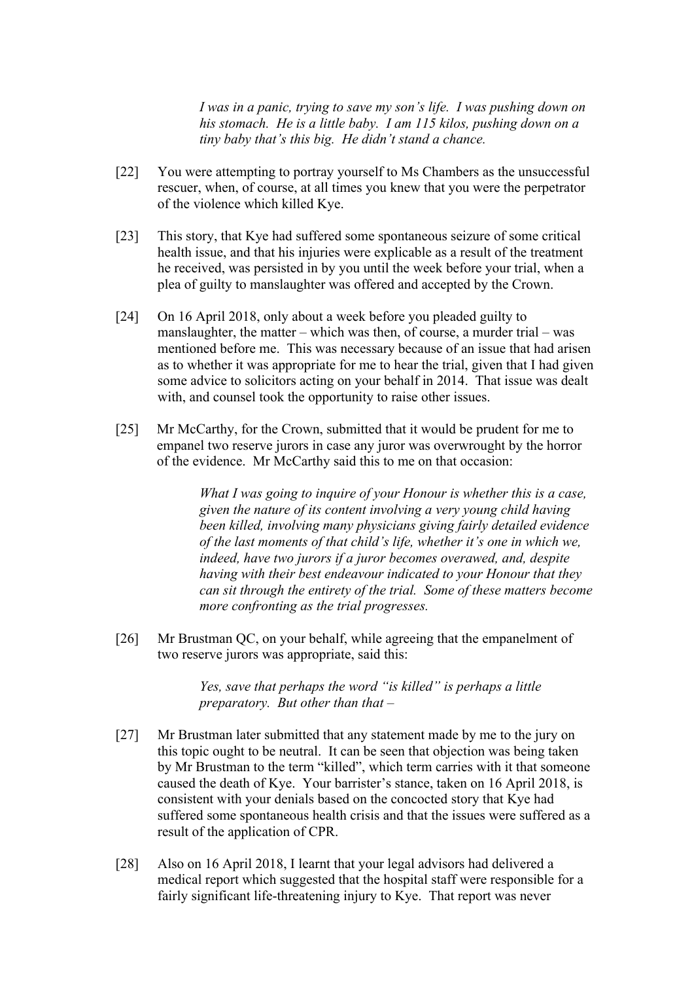*I was in a panic, trying to save my son's life. I was pushing down on his stomach. He is a little baby. I am 115 kilos, pushing down on a tiny baby that's this big. He didn't stand a chance.* 

- [22] You were attempting to portray yourself to Ms Chambers as the unsuccessful rescuer, when, of course, at all times you knew that you were the perpetrator of the violence which killed Kye.
- [23] This story, that Kye had suffered some spontaneous seizure of some critical health issue, and that his injuries were explicable as a result of the treatment he received, was persisted in by you until the week before your trial, when a plea of guilty to manslaughter was offered and accepted by the Crown.
- [24] On 16 April 2018, only about a week before you pleaded guilty to manslaughter, the matter – which was then, of course, a murder trial – was mentioned before me. This was necessary because of an issue that had arisen as to whether it was appropriate for me to hear the trial, given that I had given some advice to solicitors acting on your behalf in 2014. That issue was dealt with, and counsel took the opportunity to raise other issues.
- [25] Mr McCarthy, for the Crown, submitted that it would be prudent for me to empanel two reserve jurors in case any juror was overwrought by the horror of the evidence. Mr McCarthy said this to me on that occasion:

*What I was going to inquire of your Honour is whether this is a case, given the nature of its content involving a very young child having been killed, involving many physicians giving fairly detailed evidence of the last moments of that child's life, whether it's one in which we, indeed, have two jurors if a juror becomes overawed, and, despite having with their best endeavour indicated to your Honour that they can sit through the entirety of the trial. Some of these matters become more confronting as the trial progresses.* 

[26] Mr Brustman QC, on your behalf, while agreeing that the empanelment of two reserve jurors was appropriate, said this:

> *Yes, save that perhaps the word "is killed" is perhaps a little preparatory. But other than that –*

- [27] Mr Brustman later submitted that any statement made by me to the jury on this topic ought to be neutral. It can be seen that objection was being taken by Mr Brustman to the term "killed", which term carries with it that someone caused the death of Kye. Your barrister's stance, taken on 16 April 2018, is consistent with your denials based on the concocted story that Kye had suffered some spontaneous health crisis and that the issues were suffered as a result of the application of CPR.
- [28] Also on 16 April 2018, I learnt that your legal advisors had delivered a medical report which suggested that the hospital staff were responsible for a fairly significant life-threatening injury to Kye. That report was never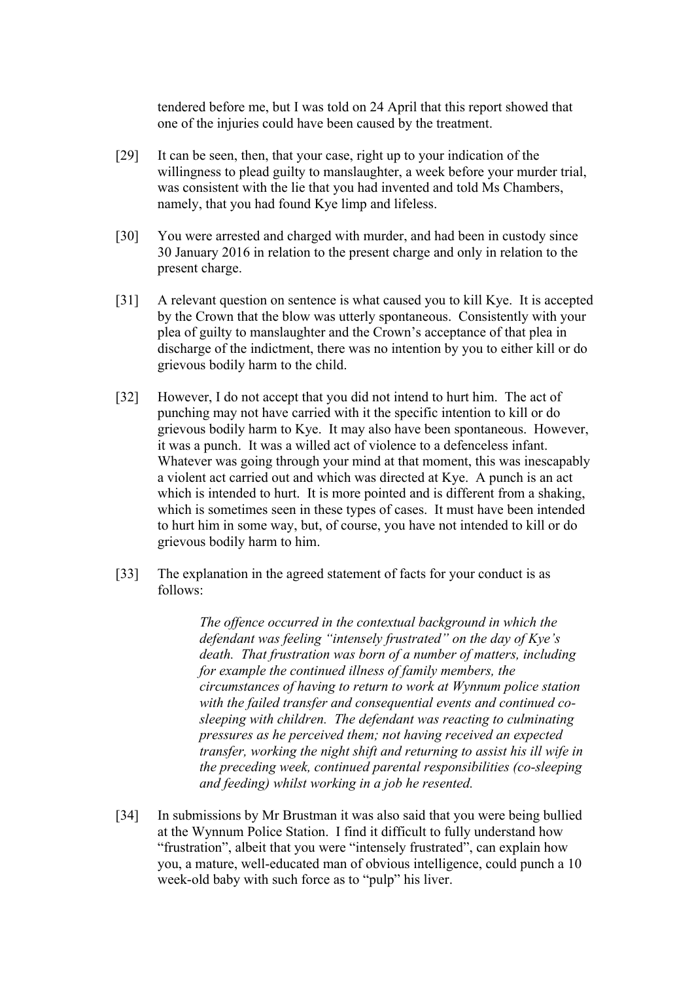tendered before me, but I was told on 24 April that this report showed that one of the injuries could have been caused by the treatment.

- [29] It can be seen, then, that your case, right up to your indication of the willingness to plead guilty to manslaughter, a week before your murder trial, was consistent with the lie that you had invented and told Ms Chambers, namely, that you had found Kye limp and lifeless.
- [30] You were arrested and charged with murder, and had been in custody since 30 January 2016 in relation to the present charge and only in relation to the present charge.
- [31] A relevant question on sentence is what caused you to kill Kye. It is accepted by the Crown that the blow was utterly spontaneous. Consistently with your plea of guilty to manslaughter and the Crown's acceptance of that plea in discharge of the indictment, there was no intention by you to either kill or do grievous bodily harm to the child.
- [32] However, I do not accept that you did not intend to hurt him. The act of punching may not have carried with it the specific intention to kill or do grievous bodily harm to Kye. It may also have been spontaneous. However, it was a punch. It was a willed act of violence to a defenceless infant. Whatever was going through your mind at that moment, this was inescapably a violent act carried out and which was directed at Kye. A punch is an act which is intended to hurt. It is more pointed and is different from a shaking, which is sometimes seen in these types of cases. It must have been intended to hurt him in some way, but, of course, you have not intended to kill or do grievous bodily harm to him.
- [33] The explanation in the agreed statement of facts for your conduct is as follows:

*The offence occurred in the contextual background in which the defendant was feeling "intensely frustrated" on the day of Kye's death. That frustration was born of a number of matters, including for example the continued illness of family members, the circumstances of having to return to work at Wynnum police station with the failed transfer and consequential events and continued cosleeping with children. The defendant was reacting to culminating pressures as he perceived them; not having received an expected transfer, working the night shift and returning to assist his ill wife in the preceding week, continued parental responsibilities (co-sleeping and feeding) whilst working in a job he resented.* 

[34] In submissions by Mr Brustman it was also said that you were being bullied at the Wynnum Police Station. I find it difficult to fully understand how "frustration", albeit that you were "intensely frustrated", can explain how you, a mature, well-educated man of obvious intelligence, could punch a 10 week-old baby with such force as to "pulp" his liver.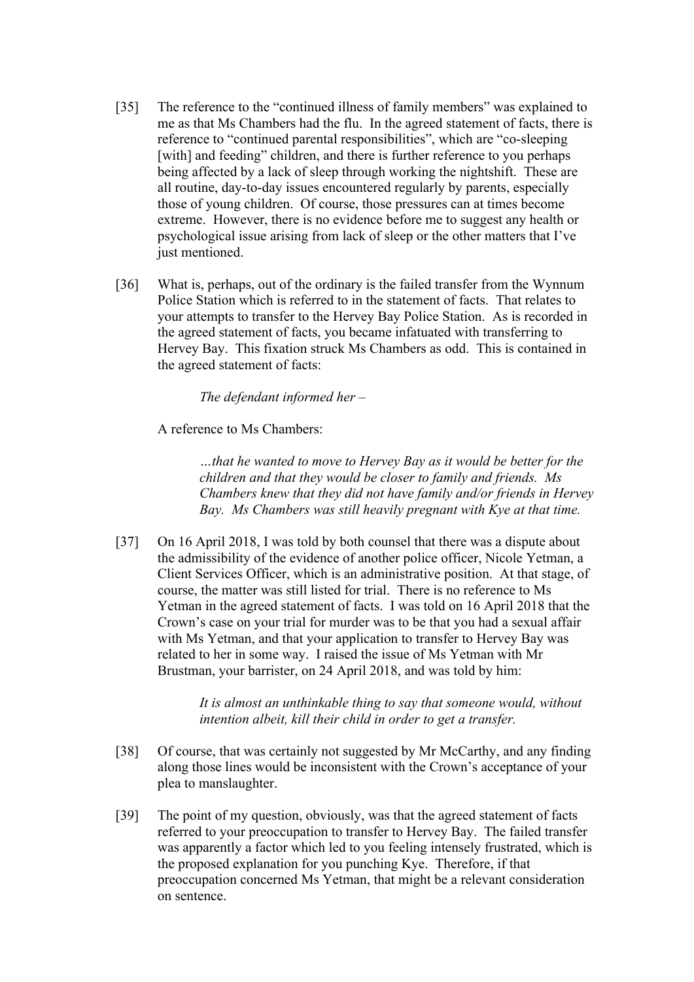- [35] The reference to the "continued illness of family members" was explained to me as that Ms Chambers had the flu. In the agreed statement of facts, there is reference to "continued parental responsibilities", which are "co-sleeping [with] and feeding" children, and there is further reference to you perhaps being affected by a lack of sleep through working the nightshift. These are all routine, day-to-day issues encountered regularly by parents, especially those of young children. Of course, those pressures can at times become extreme. However, there is no evidence before me to suggest any health or psychological issue arising from lack of sleep or the other matters that I've just mentioned.
- [36] What is, perhaps, out of the ordinary is the failed transfer from the Wynnum Police Station which is referred to in the statement of facts. That relates to your attempts to transfer to the Hervey Bay Police Station. As is recorded in the agreed statement of facts, you became infatuated with transferring to Hervey Bay. This fixation struck Ms Chambers as odd. This is contained in the agreed statement of facts:

*The defendant informed her –* 

A reference to Ms Chambers:

*…that he wanted to move to Hervey Bay as it would be better for the children and that they would be closer to family and friends. Ms Chambers knew that they did not have family and/or friends in Hervey Bay. Ms Chambers was still heavily pregnant with Kye at that time.* 

[37] On 16 April 2018, I was told by both counsel that there was a dispute about the admissibility of the evidence of another police officer, Nicole Yetman, a Client Services Officer, which is an administrative position. At that stage, of course, the matter was still listed for trial. There is no reference to Ms Yetman in the agreed statement of facts. I was told on 16 April 2018 that the Crown's case on your trial for murder was to be that you had a sexual affair with Ms Yetman, and that your application to transfer to Hervey Bay was related to her in some way. I raised the issue of Ms Yetman with Mr Brustman, your barrister, on 24 April 2018, and was told by him:

> *It is almost an unthinkable thing to say that someone would, without intention albeit, kill their child in order to get a transfer.*

- [38] Of course, that was certainly not suggested by Mr McCarthy, and any finding along those lines would be inconsistent with the Crown's acceptance of your plea to manslaughter.
- [39] The point of my question, obviously, was that the agreed statement of facts referred to your preoccupation to transfer to Hervey Bay. The failed transfer was apparently a factor which led to you feeling intensely frustrated, which is the proposed explanation for you punching Kye. Therefore, if that preoccupation concerned Ms Yetman, that might be a relevant consideration on sentence.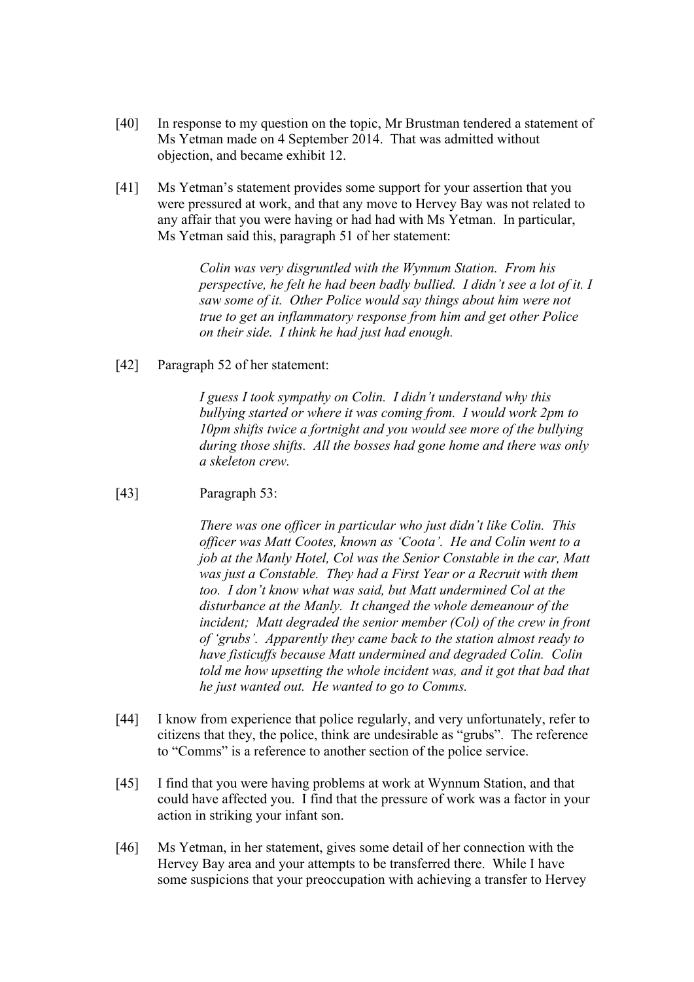- [40] In response to my question on the topic, Mr Brustman tendered a statement of Ms Yetman made on 4 September 2014. That was admitted without objection, and became exhibit 12.
- [41] Ms Yetman's statement provides some support for your assertion that you were pressured at work, and that any move to Hervey Bay was not related to any affair that you were having or had had with Ms Yetman. In particular, Ms Yetman said this, paragraph 51 of her statement:

*Colin was very disgruntled with the Wynnum Station. From his perspective, he felt he had been badly bullied. I didn't see a lot of it. I saw some of it. Other Police would say things about him were not true to get an inflammatory response from him and get other Police on their side. I think he had just had enough.* 

[42] Paragraph 52 of her statement:

*I guess I took sympathy on Colin. I didn't understand why this bullying started or where it was coming from. I would work 2pm to 10pm shifts twice a fortnight and you would see more of the bullying during those shifts. All the bosses had gone home and there was only a skeleton crew.* 

[43] Paragraph 53:

*There was one officer in particular who just didn't like Colin. This officer was Matt Cootes, known as 'Coota'. He and Colin went to a job at the Manly Hotel, Col was the Senior Constable in the car, Matt was just a Constable. They had a First Year or a Recruit with them too. I don't know what was said, but Matt undermined Col at the disturbance at the Manly. It changed the whole demeanour of the incident; Matt degraded the senior member (Col) of the crew in front of 'grubs'. Apparently they came back to the station almost ready to have fisticuffs because Matt undermined and degraded Colin. Colin told me how upsetting the whole incident was, and it got that bad that he just wanted out. He wanted to go to Comms.* 

- [44] I know from experience that police regularly, and very unfortunately, refer to citizens that they, the police, think are undesirable as "grubs". The reference to "Comms" is a reference to another section of the police service.
- [45] I find that you were having problems at work at Wynnum Station, and that could have affected you. I find that the pressure of work was a factor in your action in striking your infant son.
- [46] Ms Yetman, in her statement, gives some detail of her connection with the Hervey Bay area and your attempts to be transferred there. While I have some suspicions that your preoccupation with achieving a transfer to Hervey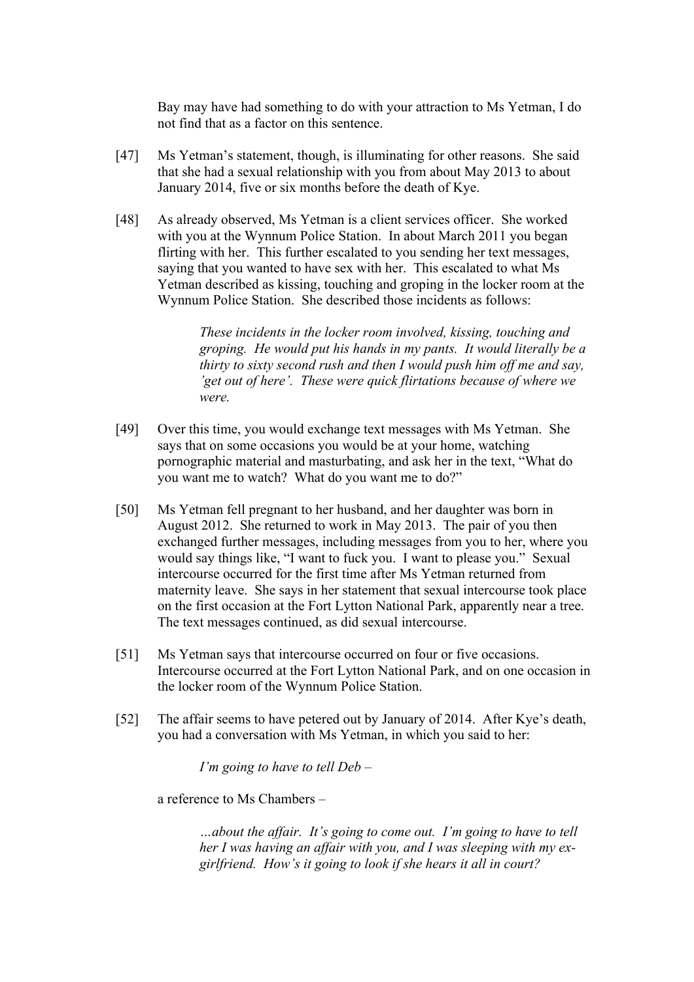Bay may have had something to do with your attraction to Ms Yetman, I do not find that as a factor on this sentence.

- [47] Ms Yetman's statement, though, is illuminating for other reasons. She said that she had a sexual relationship with you from about May 2013 to about January 2014, five or six months before the death of Kye.
- [48] As already observed, Ms Yetman is a client services officer. She worked with you at the Wynnum Police Station. In about March 2011 you began flirting with her. This further escalated to you sending her text messages, saying that you wanted to have sex with her. This escalated to what Ms Yetman described as kissing, touching and groping in the locker room at the Wynnum Police Station. She described those incidents as follows:

*These incidents in the locker room involved, kissing, touching and groping. He would put his hands in my pants. It would literally be a thirty to sixty second rush and then I would push him off me and say, 'get out of here'. These were quick flirtations because of where we were.* 

- [49] Over this time, you would exchange text messages with Ms Yetman. She says that on some occasions you would be at your home, watching pornographic material and masturbating, and ask her in the text, "What do you want me to watch? What do you want me to do?"
- [50] Ms Yetman fell pregnant to her husband, and her daughter was born in August 2012. She returned to work in May 2013. The pair of you then exchanged further messages, including messages from you to her, where you would say things like, "I want to fuck you. I want to please you." Sexual intercourse occurred for the first time after Ms Yetman returned from maternity leave. She says in her statement that sexual intercourse took place on the first occasion at the Fort Lytton National Park, apparently near a tree. The text messages continued, as did sexual intercourse.
- [51] Ms Yetman says that intercourse occurred on four or five occasions. Intercourse occurred at the Fort Lytton National Park, and on one occasion in the locker room of the Wynnum Police Station.
- [52] The affair seems to have petered out by January of 2014. After Kye's death, you had a conversation with Ms Yetman, in which you said to her:

*I'm going to have to tell Deb –*

a reference to Ms Chambers –

*…about the affair. It's going to come out. I'm going to have to tell her I was having an affair with you, and I was sleeping with my exgirlfriend. How's it going to look if she hears it all in court?*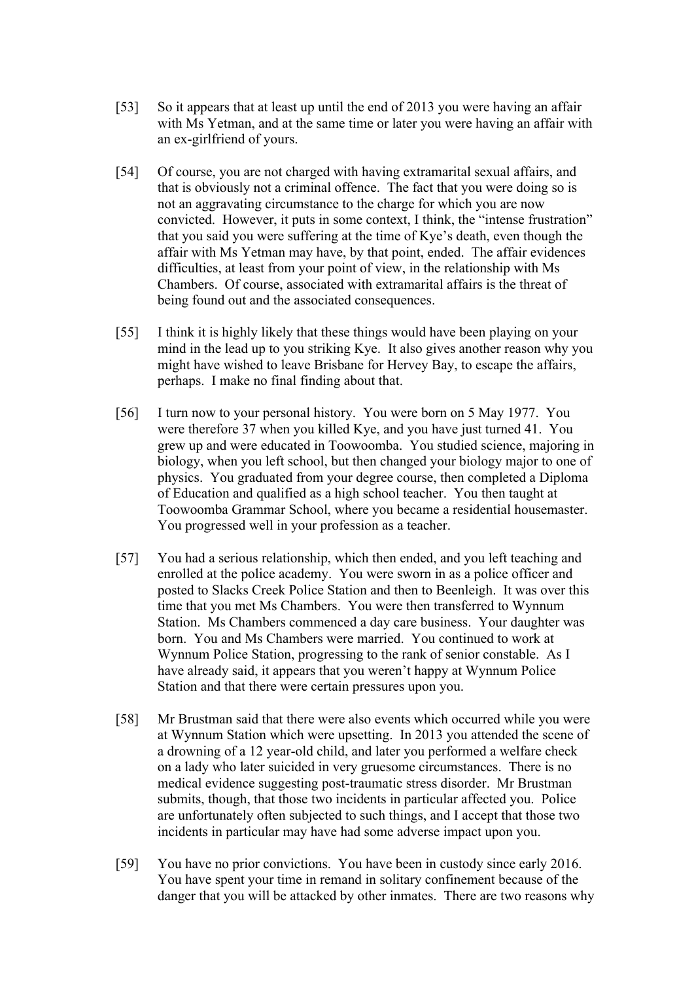- [53] So it appears that at least up until the end of 2013 you were having an affair with Ms Yetman, and at the same time or later you were having an affair with an ex-girlfriend of yours.
- [54] Of course, you are not charged with having extramarital sexual affairs, and that is obviously not a criminal offence. The fact that you were doing so is not an aggravating circumstance to the charge for which you are now convicted. However, it puts in some context, I think, the "intense frustration" that you said you were suffering at the time of Kye's death, even though the affair with Ms Yetman may have, by that point, ended. The affair evidences difficulties, at least from your point of view, in the relationship with Ms Chambers. Of course, associated with extramarital affairs is the threat of being found out and the associated consequences.
- [55] I think it is highly likely that these things would have been playing on your mind in the lead up to you striking Kye. It also gives another reason why you might have wished to leave Brisbane for Hervey Bay, to escape the affairs, perhaps. I make no final finding about that.
- [56] I turn now to your personal history. You were born on 5 May 1977. You were therefore 37 when you killed Kye, and you have just turned 41. You grew up and were educated in Toowoomba. You studied science, majoring in biology, when you left school, but then changed your biology major to one of physics. You graduated from your degree course, then completed a Diploma of Education and qualified as a high school teacher. You then taught at Toowoomba Grammar School, where you became a residential housemaster. You progressed well in your profession as a teacher.
- [57] You had a serious relationship, which then ended, and you left teaching and enrolled at the police academy. You were sworn in as a police officer and posted to Slacks Creek Police Station and then to Beenleigh. It was over this time that you met Ms Chambers. You were then transferred to Wynnum Station. Ms Chambers commenced a day care business. Your daughter was born. You and Ms Chambers were married. You continued to work at Wynnum Police Station, progressing to the rank of senior constable. As I have already said, it appears that you weren't happy at Wynnum Police Station and that there were certain pressures upon you.
- [58] Mr Brustman said that there were also events which occurred while you were at Wynnum Station which were upsetting. In 2013 you attended the scene of a drowning of a 12 year-old child, and later you performed a welfare check on a lady who later suicided in very gruesome circumstances. There is no medical evidence suggesting post-traumatic stress disorder. Mr Brustman submits, though, that those two incidents in particular affected you. Police are unfortunately often subjected to such things, and I accept that those two incidents in particular may have had some adverse impact upon you.
- [59] You have no prior convictions. You have been in custody since early 2016. You have spent your time in remand in solitary confinement because of the danger that you will be attacked by other inmates. There are two reasons why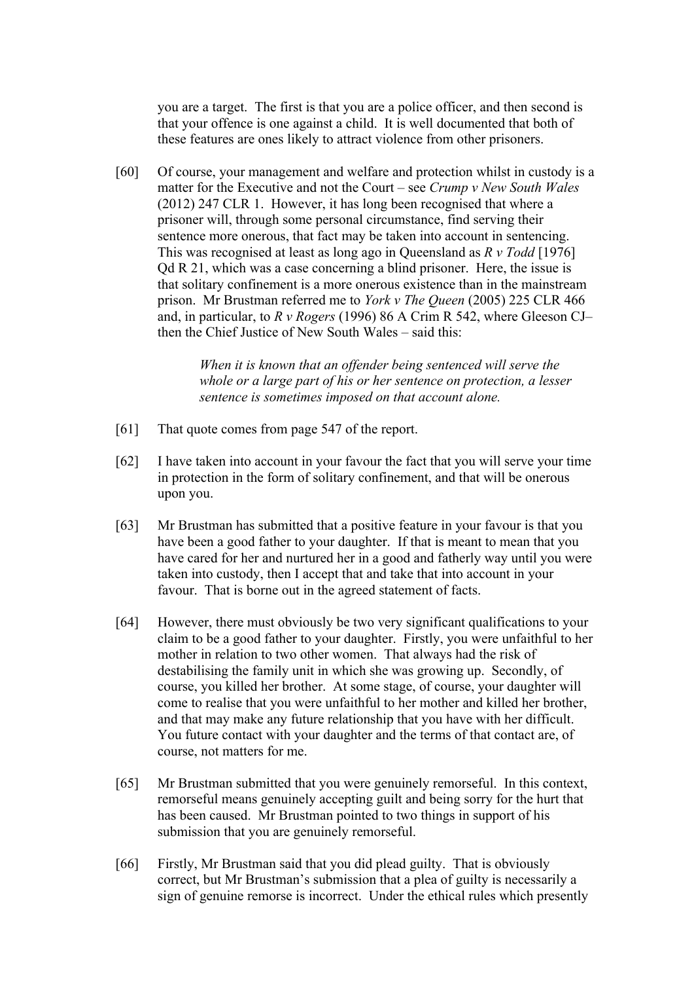you are a target. The first is that you are a police officer, and then second is that your offence is one against a child. It is well documented that both of these features are ones likely to attract violence from other prisoners.

[60] Of course, your management and welfare and protection whilst in custody is a matter for the Executive and not the Court – see *Crump v New South Wales* (2012) 247 CLR 1. However, it has long been recognised that where a prisoner will, through some personal circumstance, find serving their sentence more onerous, that fact may be taken into account in sentencing. This was recognised at least as long ago in Queensland as *R v Todd* [1976] Qd R 21, which was a case concerning a blind prisoner. Here, the issue is that solitary confinement is a more onerous existence than in the mainstream prison. Mr Brustman referred me to *York v The Queen* (2005) 225 CLR 466 and, in particular, to *R v Rogers* (1996) 86 A Crim R 542, where Gleeson CJ– then the Chief Justice of New South Wales – said this:

> *When it is known that an offender being sentenced will serve the whole or a large part of his or her sentence on protection, a lesser sentence is sometimes imposed on that account alone.*

- [61] That quote comes from page 547 of the report.
- [62] I have taken into account in your favour the fact that you will serve your time in protection in the form of solitary confinement, and that will be onerous upon you.
- [63] Mr Brustman has submitted that a positive feature in your favour is that you have been a good father to your daughter. If that is meant to mean that you have cared for her and nurtured her in a good and fatherly way until you were taken into custody, then I accept that and take that into account in your favour. That is borne out in the agreed statement of facts.
- [64] However, there must obviously be two very significant qualifications to your claim to be a good father to your daughter. Firstly, you were unfaithful to her mother in relation to two other women. That always had the risk of destabilising the family unit in which she was growing up. Secondly, of course, you killed her brother. At some stage, of course, your daughter will come to realise that you were unfaithful to her mother and killed her brother, and that may make any future relationship that you have with her difficult. You future contact with your daughter and the terms of that contact are, of course, not matters for me.
- [65] Mr Brustman submitted that you were genuinely remorseful. In this context, remorseful means genuinely accepting guilt and being sorry for the hurt that has been caused. Mr Brustman pointed to two things in support of his submission that you are genuinely remorseful.
- [66] Firstly, Mr Brustman said that you did plead guilty. That is obviously correct, but Mr Brustman's submission that a plea of guilty is necessarily a sign of genuine remorse is incorrect. Under the ethical rules which presently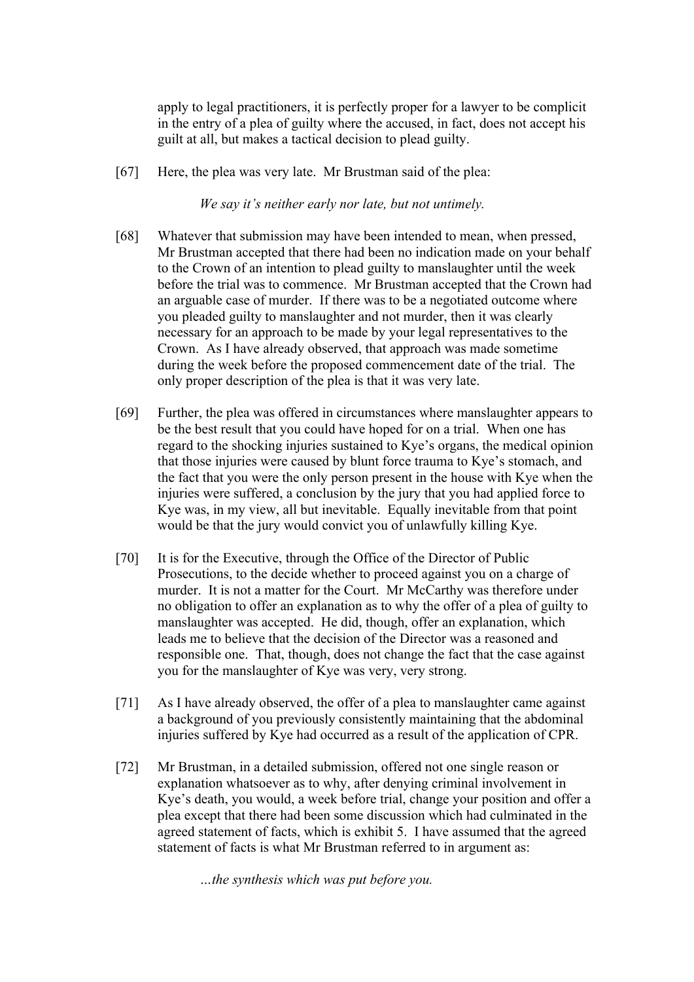apply to legal practitioners, it is perfectly proper for a lawyer to be complicit in the entry of a plea of guilty where the accused, in fact, does not accept his guilt at all, but makes a tactical decision to plead guilty.

[67] Here, the plea was very late. Mr Brustman said of the plea:

*We say it's neither early nor late, but not untimely.*

- [68] Whatever that submission may have been intended to mean, when pressed, Mr Brustman accepted that there had been no indication made on your behalf to the Crown of an intention to plead guilty to manslaughter until the week before the trial was to commence. Mr Brustman accepted that the Crown had an arguable case of murder. If there was to be a negotiated outcome where you pleaded guilty to manslaughter and not murder, then it was clearly necessary for an approach to be made by your legal representatives to the Crown. As I have already observed, that approach was made sometime during the week before the proposed commencement date of the trial. The only proper description of the plea is that it was very late.
- [69] Further, the plea was offered in circumstances where manslaughter appears to be the best result that you could have hoped for on a trial. When one has regard to the shocking injuries sustained to Kye's organs, the medical opinion that those injuries were caused by blunt force trauma to Kye's stomach, and the fact that you were the only person present in the house with Kye when the injuries were suffered, a conclusion by the jury that you had applied force to Kye was, in my view, all but inevitable. Equally inevitable from that point would be that the jury would convict you of unlawfully killing Kye.
- [70] It is for the Executive, through the Office of the Director of Public Prosecutions, to the decide whether to proceed against you on a charge of murder. It is not a matter for the Court. Mr McCarthy was therefore under no obligation to offer an explanation as to why the offer of a plea of guilty to manslaughter was accepted. He did, though, offer an explanation, which leads me to believe that the decision of the Director was a reasoned and responsible one. That, though, does not change the fact that the case against you for the manslaughter of Kye was very, very strong.
- [71] As I have already observed, the offer of a plea to manslaughter came against a background of you previously consistently maintaining that the abdominal injuries suffered by Kye had occurred as a result of the application of CPR.
- [72] Mr Brustman, in a detailed submission, offered not one single reason or explanation whatsoever as to why, after denying criminal involvement in Kye's death, you would, a week before trial, change your position and offer a plea except that there had been some discussion which had culminated in the agreed statement of facts, which is exhibit 5. I have assumed that the agreed statement of facts is what Mr Brustman referred to in argument as:

*…the synthesis which was put before you.*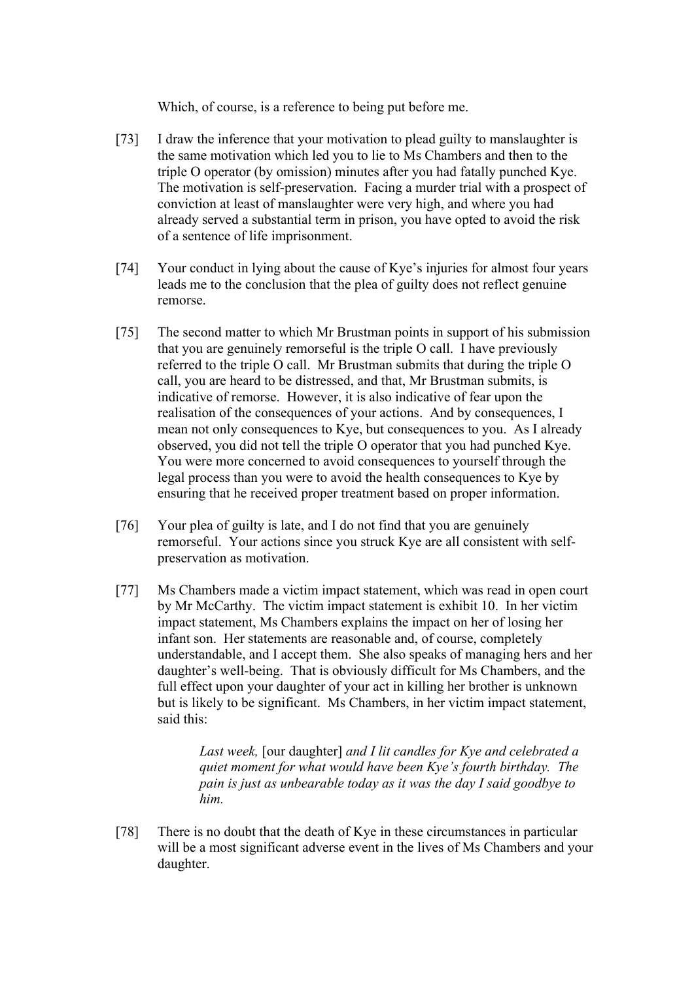Which, of course, is a reference to being put before me.

- [73] I draw the inference that your motivation to plead guilty to manslaughter is the same motivation which led you to lie to Ms Chambers and then to the triple O operator (by omission) minutes after you had fatally punched Kye. The motivation is self-preservation. Facing a murder trial with a prospect of conviction at least of manslaughter were very high, and where you had already served a substantial term in prison, you have opted to avoid the risk of a sentence of life imprisonment.
- [74] Your conduct in lying about the cause of Kye's injuries for almost four years leads me to the conclusion that the plea of guilty does not reflect genuine remorse.
- [75] The second matter to which Mr Brustman points in support of his submission that you are genuinely remorseful is the triple O call. I have previously referred to the triple O call. Mr Brustman submits that during the triple O call, you are heard to be distressed, and that, Mr Brustman submits, is indicative of remorse. However, it is also indicative of fear upon the realisation of the consequences of your actions. And by consequences, I mean not only consequences to Kye, but consequences to you. As I already observed, you did not tell the triple O operator that you had punched Kye. You were more concerned to avoid consequences to yourself through the legal process than you were to avoid the health consequences to Kye by ensuring that he received proper treatment based on proper information.
- [76] Your plea of guilty is late, and I do not find that you are genuinely remorseful. Your actions since you struck Kye are all consistent with selfpreservation as motivation.
- [77] Ms Chambers made a victim impact statement, which was read in open court by Mr McCarthy. The victim impact statement is exhibit 10. In her victim impact statement, Ms Chambers explains the impact on her of losing her infant son. Her statements are reasonable and, of course, completely understandable, and I accept them. She also speaks of managing hers and her daughter's well-being. That is obviously difficult for Ms Chambers, and the full effect upon your daughter of your act in killing her brother is unknown but is likely to be significant. Ms Chambers, in her victim impact statement, said this:

*Last week,* [our daughter] *and I lit candles for Kye and celebrated a quiet moment for what would have been Kye's fourth birthday. The pain is just as unbearable today as it was the day I said goodbye to him.*

[78] There is no doubt that the death of Kye in these circumstances in particular will be a most significant adverse event in the lives of Ms Chambers and your daughter.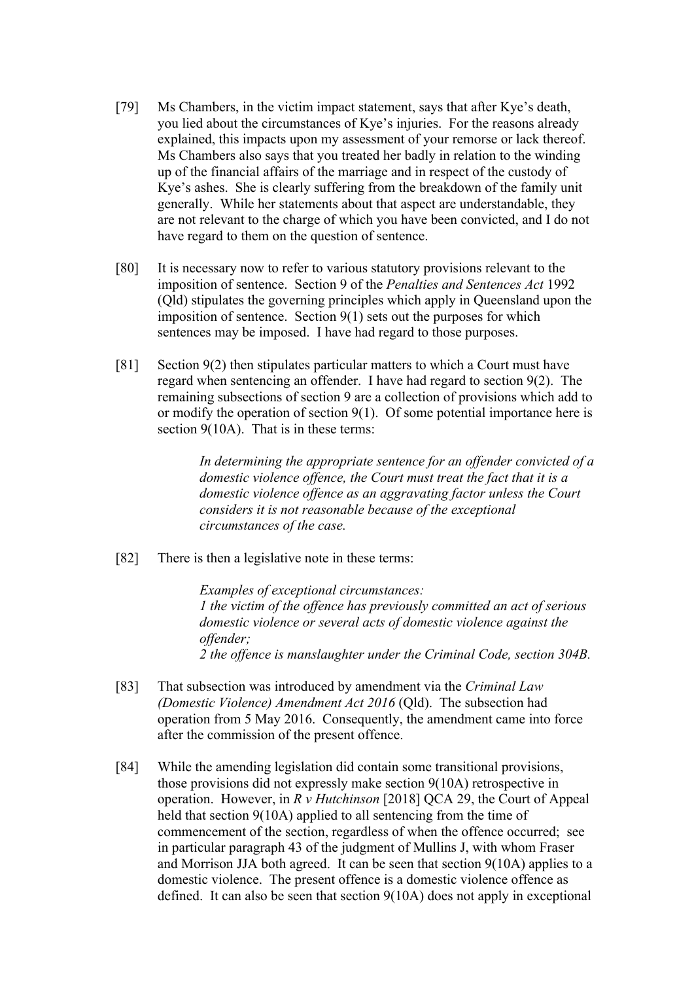- [79] Ms Chambers, in the victim impact statement, says that after Kye's death, you lied about the circumstances of Kye's injuries. For the reasons already explained, this impacts upon my assessment of your remorse or lack thereof. Ms Chambers also says that you treated her badly in relation to the winding up of the financial affairs of the marriage and in respect of the custody of Kye's ashes. She is clearly suffering from the breakdown of the family unit generally. While her statements about that aspect are understandable, they are not relevant to the charge of which you have been convicted, and I do not have regard to them on the question of sentence.
- [80] It is necessary now to refer to various statutory provisions relevant to the imposition of sentence. Section 9 of the *Penalties and Sentences Act* 1992 (Qld) stipulates the governing principles which apply in Queensland upon the imposition of sentence. Section 9(1) sets out the purposes for which sentences may be imposed. I have had regard to those purposes.
- [81] Section 9(2) then stipulates particular matters to which a Court must have regard when sentencing an offender. I have had regard to section 9(2). The remaining subsections of section 9 are a collection of provisions which add to or modify the operation of section 9(1). Of some potential importance here is section 9(10A). That is in these terms:

*In determining the appropriate sentence for an offender convicted of a domestic violence offence, the Court must treat the fact that it is a domestic violence offence as an aggravating factor unless the Court considers it is not reasonable because of the exceptional circumstances of the case.*

[82] There is then a legislative note in these terms:

*Examples of exceptional circumstances: 1 the victim of the offence has previously committed an act of serious domestic violence or several acts of domestic violence against the offender; 2 the offence is manslaughter under the Criminal Code, section 304B.*

- [83] That subsection was introduced by amendment via the *Criminal Law (Domestic Violence) Amendment Act 2016* (Qld). The subsection had operation from 5 May 2016. Consequently, the amendment came into force after the commission of the present offence.
- [84] While the amending legislation did contain some transitional provisions, those provisions did not expressly make section 9(10A) retrospective in operation. However, in *R v Hutchinson* [2018] QCA 29, the Court of Appeal held that section 9(10A) applied to all sentencing from the time of commencement of the section, regardless of when the offence occurred; see in particular paragraph 43 of the judgment of Mullins J, with whom Fraser and Morrison JJA both agreed. It can be seen that section 9(10A) applies to a domestic violence. The present offence is a domestic violence offence as defined. It can also be seen that section 9(10A) does not apply in exceptional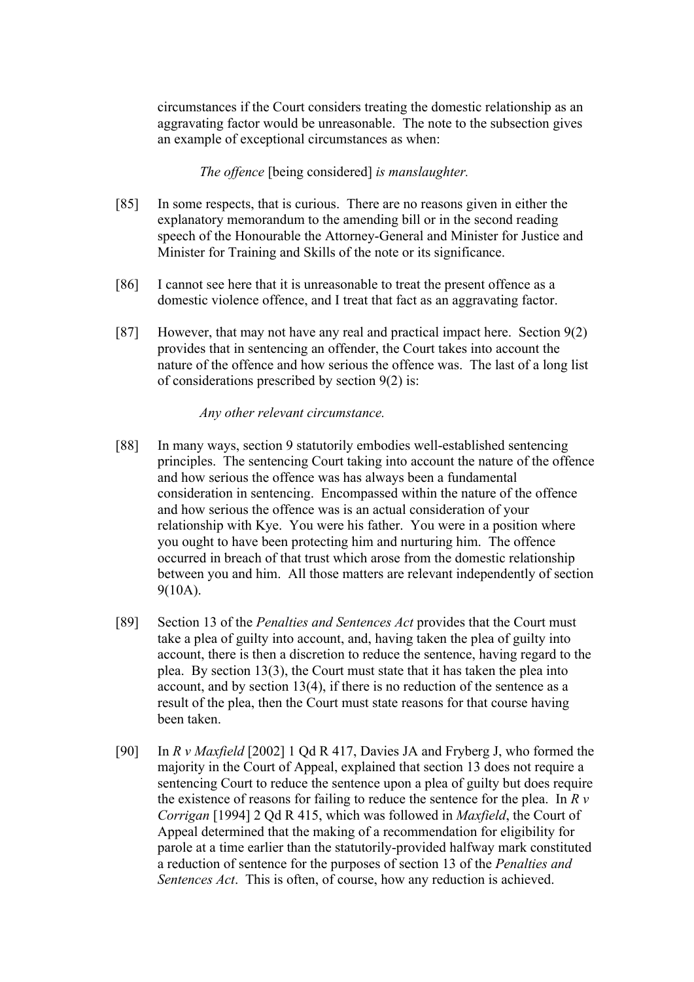circumstances if the Court considers treating the domestic relationship as an aggravating factor would be unreasonable. The note to the subsection gives an example of exceptional circumstances as when:

## *The offence* [being considered] *is manslaughter.*

- [85] In some respects, that is curious. There are no reasons given in either the explanatory memorandum to the amending bill or in the second reading speech of the Honourable the Attorney-General and Minister for Justice and Minister for Training and Skills of the note or its significance.
- [86] I cannot see here that it is unreasonable to treat the present offence as a domestic violence offence, and I treat that fact as an aggravating factor.
- [87] However, that may not have any real and practical impact here. Section 9(2) provides that in sentencing an offender, the Court takes into account the nature of the offence and how serious the offence was. The last of a long list of considerations prescribed by section 9(2) is:

## *Any other relevant circumstance.*

- [88] In many ways, section 9 statutorily embodies well-established sentencing principles. The sentencing Court taking into account the nature of the offence and how serious the offence was has always been a fundamental consideration in sentencing. Encompassed within the nature of the offence and how serious the offence was is an actual consideration of your relationship with Kye. You were his father. You were in a position where you ought to have been protecting him and nurturing him. The offence occurred in breach of that trust which arose from the domestic relationship between you and him. All those matters are relevant independently of section 9(10A).
- [89] Section 13 of the *Penalties and Sentences Act* provides that the Court must take a plea of guilty into account, and, having taken the plea of guilty into account, there is then a discretion to reduce the sentence, having regard to the plea. By section 13(3), the Court must state that it has taken the plea into account, and by section 13(4), if there is no reduction of the sentence as a result of the plea, then the Court must state reasons for that course having been taken.
- [90] In *R v Maxfield* [2002] 1 Qd R 417, Davies JA and Fryberg J, who formed the majority in the Court of Appeal, explained that section 13 does not require a sentencing Court to reduce the sentence upon a plea of guilty but does require the existence of reasons for failing to reduce the sentence for the plea. In *R v Corrigan* [1994] 2 Qd R 415, which was followed in *Maxfield*, the Court of Appeal determined that the making of a recommendation for eligibility for parole at a time earlier than the statutorily-provided halfway mark constituted a reduction of sentence for the purposes of section 13 of the *Penalties and Sentences Act*. This is often, of course, how any reduction is achieved.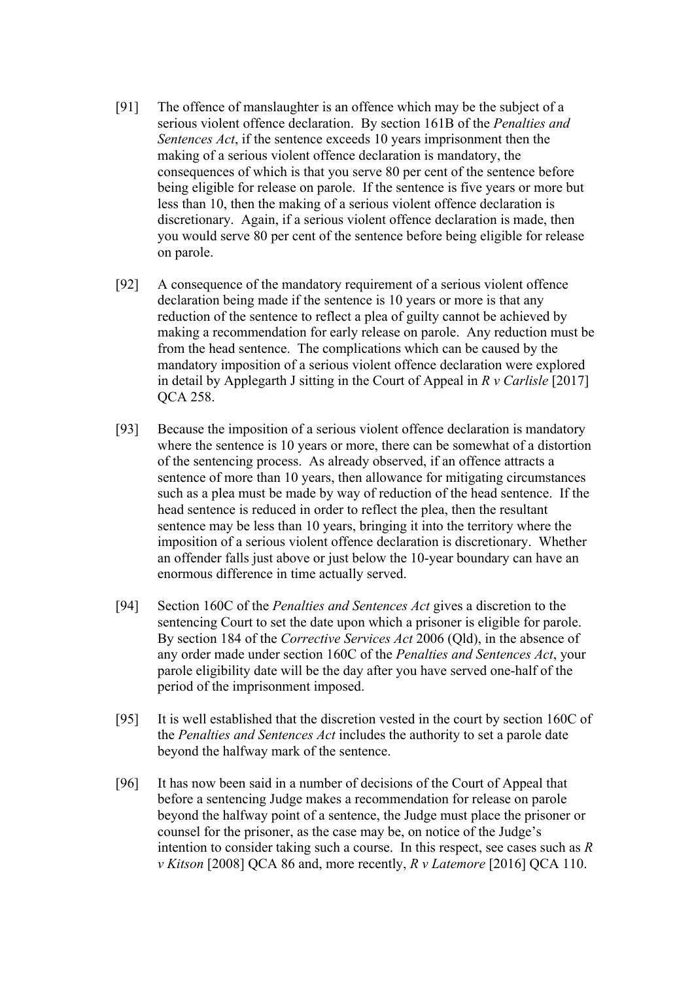- [91] The offence of manslaughter is an offence which may be the subject of a serious violent offence declaration. By section 161B of the *Penalties and Sentences Act*, if the sentence exceeds 10 years imprisonment then the making of a serious violent offence declaration is mandatory, the consequences of which is that you serve 80 per cent of the sentence before being eligible for release on parole. If the sentence is five years or more but less than 10, then the making of a serious violent offence declaration is discretionary. Again, if a serious violent offence declaration is made, then you would serve 80 per cent of the sentence before being eligible for release on parole.
- [92] A consequence of the mandatory requirement of a serious violent offence declaration being made if the sentence is 10 years or more is that any reduction of the sentence to reflect a plea of guilty cannot be achieved by making a recommendation for early release on parole. Any reduction must be from the head sentence. The complications which can be caused by the mandatory imposition of a serious violent offence declaration were explored in detail by Applegarth J sitting in the Court of Appeal in *R v Carlisle* [2017] QCA 258.
- [93] Because the imposition of a serious violent offence declaration is mandatory where the sentence is 10 years or more, there can be somewhat of a distortion of the sentencing process. As already observed, if an offence attracts a sentence of more than 10 years, then allowance for mitigating circumstances such as a plea must be made by way of reduction of the head sentence. If the head sentence is reduced in order to reflect the plea, then the resultant sentence may be less than 10 years, bringing it into the territory where the imposition of a serious violent offence declaration is discretionary. Whether an offender falls just above or just below the 10-year boundary can have an enormous difference in time actually served.
- [94] Section 160C of the *Penalties and Sentences Act* gives a discretion to the sentencing Court to set the date upon which a prisoner is eligible for parole. By section 184 of the *Corrective Services Act* 2006 (Qld), in the absence of any order made under section 160C of the *Penalties and Sentences Act*, your parole eligibility date will be the day after you have served one-half of the period of the imprisonment imposed.
- [95] It is well established that the discretion vested in the court by section 160C of the *Penalties and Sentences Act* includes the authority to set a parole date beyond the halfway mark of the sentence.
- [96] It has now been said in a number of decisions of the Court of Appeal that before a sentencing Judge makes a recommendation for release on parole beyond the halfway point of a sentence, the Judge must place the prisoner or counsel for the prisoner, as the case may be, on notice of the Judge's intention to consider taking such a course. In this respect, see cases such as *R v Kitson* [2008] QCA 86 and, more recently, *R v Latemore* [2016] QCA 110.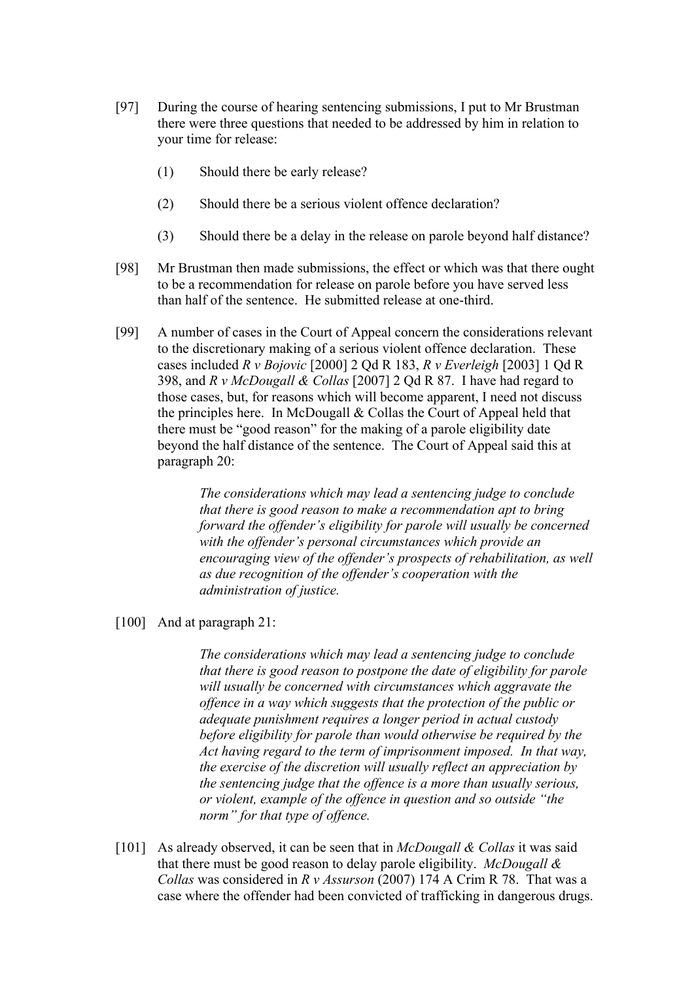- [97] During the course of hearing sentencing submissions, I put to Mr Brustman there were three questions that needed to be addressed by him in relation to your time for release:
	- (1) Should there be early release?
	- (2) Should there be a serious violent offence declaration?
	- (3) Should there be a delay in the release on parole beyond half distance?
- [98] Mr Brustman then made submissions, the effect or which was that there ought to be a recommendation for release on parole before you have served less than half of the sentence. He submitted release at one-third.
- [99] A number of cases in the Court of Appeal concern the considerations relevant to the discretionary making of a serious violent offence declaration. These cases included *R v Bojovic* [2000] 2 Qd R 183, *R v Everleigh* [2003] 1 Qd R 398, and *R v McDougall & Collas* [2007] 2 Qd R 87. I have had regard to those cases, but, for reasons which will become apparent, I need not discuss the principles here. In McDougall & Collas the Court of Appeal held that there must be "good reason" for the making of a parole eligibility date beyond the half distance of the sentence. The Court of Appeal said this at paragraph 20:

*The considerations which may lead a sentencing judge to conclude that there is good reason to make a recommendation apt to bring forward the offender's eligibility for parole will usually be concerned with the offender's personal circumstances which provide an encouraging view of the offender's prospects of rehabilitation, as well as due recognition of the offender's cooperation with the administration of justice.*

[100] And at paragraph 21:

*The considerations which may lead a sentencing judge to conclude that there is good reason to postpone the date of eligibility for parole will usually be concerned with circumstances which aggravate the offence in a way which suggests that the protection of the public or adequate punishment requires a longer period in actual custody before eligibility for parole than would otherwise be required by the Act having regard to the term of imprisonment imposed. In that way, the exercise of the discretion will usually reflect an appreciation by the sentencing judge that the offence is a more than usually serious, or violent, example of the offence in question and so outside "the norm" for that type of offence.*

[101] As already observed, it can be seen that in *McDougall & Collas* it was said that there must be good reason to delay parole eligibility. *McDougall & Collas* was considered in *R v Assurson* (2007) 174 A Crim R 78. That was a case where the offender had been convicted of trafficking in dangerous drugs.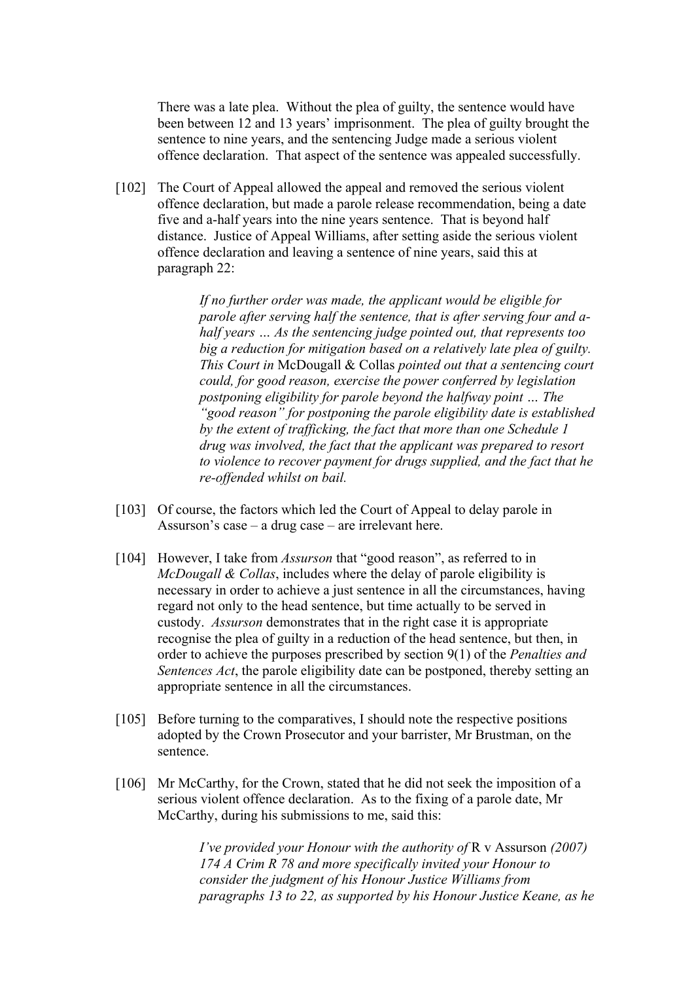There was a late plea. Without the plea of guilty, the sentence would have been between 12 and 13 years' imprisonment. The plea of guilty brought the sentence to nine years, and the sentencing Judge made a serious violent offence declaration. That aspect of the sentence was appealed successfully.

[102] The Court of Appeal allowed the appeal and removed the serious violent offence declaration, but made a parole release recommendation, being a date five and a-half years into the nine years sentence. That is beyond half distance. Justice of Appeal Williams, after setting aside the serious violent offence declaration and leaving a sentence of nine years, said this at paragraph 22:

> *If no further order was made, the applicant would be eligible for parole after serving half the sentence, that is after serving four and ahalf years … As the sentencing judge pointed out, that represents too big a reduction for mitigation based on a relatively late plea of guilty. This Court in* McDougall & Collas *pointed out that a sentencing court could, for good reason, exercise the power conferred by legislation postponing eligibility for parole beyond the halfway point … The "good reason" for postponing the parole eligibility date is established by the extent of trafficking, the fact that more than one Schedule 1 drug was involved, the fact that the applicant was prepared to resort to violence to recover payment for drugs supplied, and the fact that he re-offended whilst on bail.*

- [103] Of course, the factors which led the Court of Appeal to delay parole in Assurson's case – a drug case – are irrelevant here.
- [104] However, I take from *Assurson* that "good reason", as referred to in *McDougall & Collas*, includes where the delay of parole eligibility is necessary in order to achieve a just sentence in all the circumstances, having regard not only to the head sentence, but time actually to be served in custody. *Assurson* demonstrates that in the right case it is appropriate recognise the plea of guilty in a reduction of the head sentence, but then, in order to achieve the purposes prescribed by section 9(1) of the *Penalties and Sentences Act*, the parole eligibility date can be postponed, thereby setting an appropriate sentence in all the circumstances.
- [105] Before turning to the comparatives, I should note the respective positions adopted by the Crown Prosecutor and your barrister, Mr Brustman, on the sentence.
- [106] Mr McCarthy, for the Crown, stated that he did not seek the imposition of a serious violent offence declaration. As to the fixing of a parole date, Mr McCarthy, during his submissions to me, said this:

*I've provided your Honour with the authority of R v Assurson (2007) 174 A Crim R 78 and more specifically invited your Honour to consider the judgment of his Honour Justice Williams from paragraphs 13 to 22, as supported by his Honour Justice Keane, as he*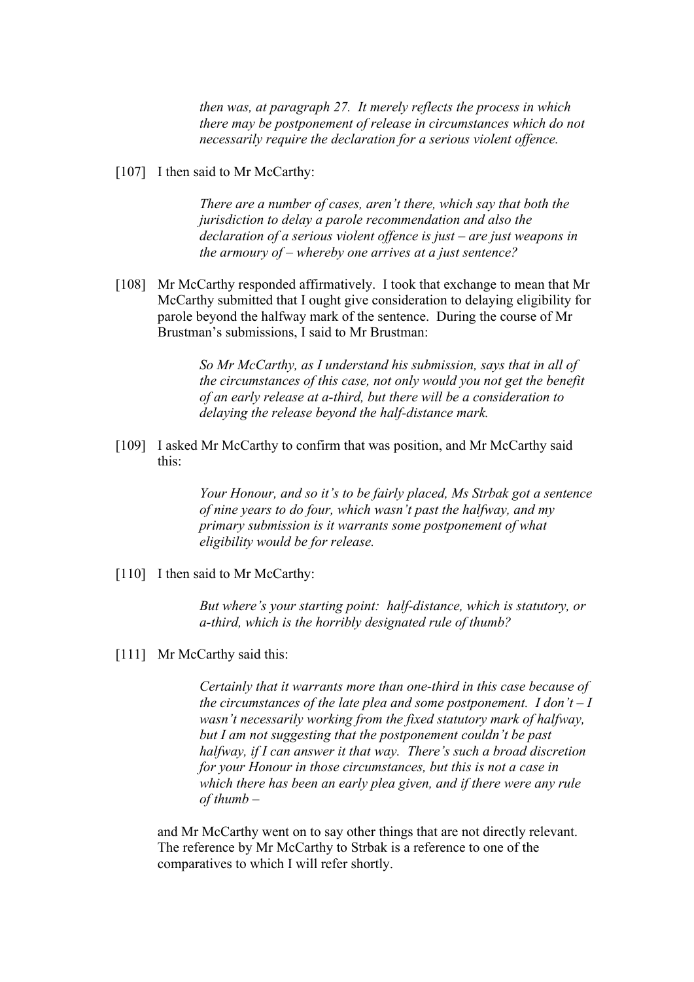*then was, at paragraph 27. It merely reflects the process in which there may be postponement of release in circumstances which do not necessarily require the declaration for a serious violent offence.*

[107] I then said to Mr McCarthy:

*There are a number of cases, aren't there, which say that both the jurisdiction to delay a parole recommendation and also the declaration of a serious violent offence is just – are just weapons in the armoury of – whereby one arrives at a just sentence?*

[108] Mr McCarthy responded affirmatively. I took that exchange to mean that Mr McCarthy submitted that I ought give consideration to delaying eligibility for parole beyond the halfway mark of the sentence. During the course of Mr Brustman's submissions, I said to Mr Brustman:

> *So Mr McCarthy, as I understand his submission, says that in all of the circumstances of this case, not only would you not get the benefit of an early release at a-third, but there will be a consideration to delaying the release beyond the half-distance mark.*

[109] I asked Mr McCarthy to confirm that was position, and Mr McCarthy said this:

> *Your Honour, and so it's to be fairly placed, Ms Strbak got a sentence of nine years to do four, which wasn't past the halfway, and my primary submission is it warrants some postponement of what eligibility would be for release.*

[110] I then said to Mr McCarthy:

*But where's your starting point: half-distance, which is statutory, or a-third, which is the horribly designated rule of thumb?*

[111] Mr McCarthy said this:

*Certainly that it warrants more than one-third in this case because of the circumstances of the late plea and some postponement. I don't – I wasn't necessarily working from the fixed statutory mark of halfway, but I am not suggesting that the postponement couldn't be past halfway, if I can answer it that way. There's such a broad discretion for your Honour in those circumstances, but this is not a case in which there has been an early plea given, and if there were any rule of thumb –*

and Mr McCarthy went on to say other things that are not directly relevant. The reference by Mr McCarthy to Strbak is a reference to one of the comparatives to which I will refer shortly.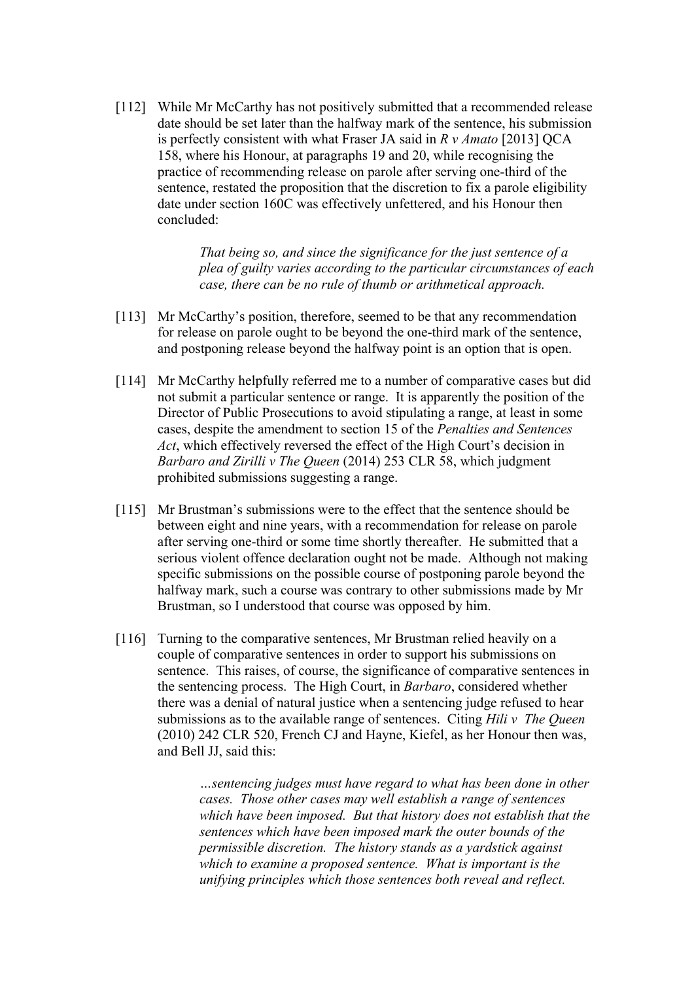[112] While Mr McCarthy has not positively submitted that a recommended release date should be set later than the halfway mark of the sentence, his submission is perfectly consistent with what Fraser JA said in *R v Amato* [2013] QCA 158, where his Honour, at paragraphs 19 and 20, while recognising the practice of recommending release on parole after serving one-third of the sentence, restated the proposition that the discretion to fix a parole eligibility date under section 160C was effectively unfettered, and his Honour then concluded:

> *That being so, and since the significance for the just sentence of a plea of guilty varies according to the particular circumstances of each case, there can be no rule of thumb or arithmetical approach.*

- [113] Mr McCarthy's position, therefore, seemed to be that any recommendation for release on parole ought to be beyond the one-third mark of the sentence, and postponing release beyond the halfway point is an option that is open.
- [114] Mr McCarthy helpfully referred me to a number of comparative cases but did not submit a particular sentence or range. It is apparently the position of the Director of Public Prosecutions to avoid stipulating a range, at least in some cases, despite the amendment to section 15 of the *Penalties and Sentences Act*, which effectively reversed the effect of the High Court's decision in *Barbaro and Zirilli v The Queen* (2014) 253 CLR 58, which judgment prohibited submissions suggesting a range.
- [115] Mr Brustman's submissions were to the effect that the sentence should be between eight and nine years, with a recommendation for release on parole after serving one-third or some time shortly thereafter. He submitted that a serious violent offence declaration ought not be made. Although not making specific submissions on the possible course of postponing parole beyond the halfway mark, such a course was contrary to other submissions made by Mr Brustman, so I understood that course was opposed by him.
- [116] Turning to the comparative sentences, Mr Brustman relied heavily on a couple of comparative sentences in order to support his submissions on sentence. This raises, of course, the significance of comparative sentences in the sentencing process. The High Court, in *Barbaro*, considered whether there was a denial of natural justice when a sentencing judge refused to hear submissions as to the available range of sentences. Citing *Hili v The Queen* (2010) 242 CLR 520, French CJ and Hayne, Kiefel, as her Honour then was, and Bell JJ, said this:

*…sentencing judges must have regard to what has been done in other cases. Those other cases may well establish a range of sentences which have been imposed. But that history does not establish that the sentences which have been imposed mark the outer bounds of the permissible discretion. The history stands as a yardstick against which to examine a proposed sentence. What is important is the unifying principles which those sentences both reveal and reflect.*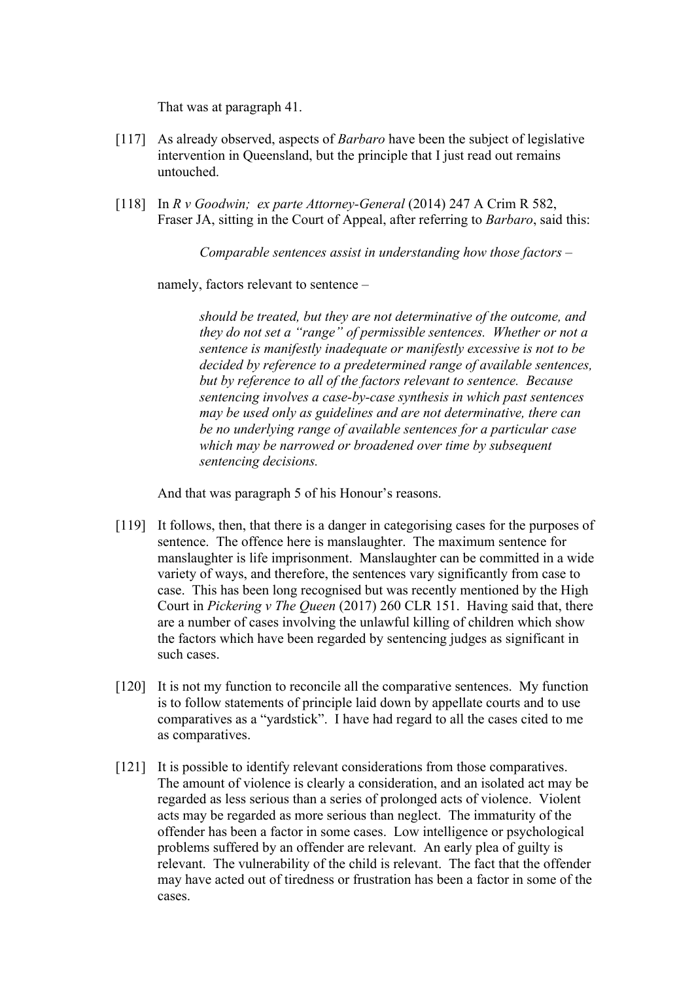That was at paragraph 41.

- [117] As already observed, aspects of *Barbaro* have been the subject of legislative intervention in Queensland, but the principle that I just read out remains untouched.
- [118] In *R v Goodwin; ex parte Attorney-General* (2014) 247 A Crim R 582, Fraser JA, sitting in the Court of Appeal, after referring to *Barbaro*, said this:

*Comparable sentences assist in understanding how those factors –*

namely, factors relevant to sentence –

*should be treated, but they are not determinative of the outcome, and they do not set a "range" of permissible sentences. Whether or not a sentence is manifestly inadequate or manifestly excessive is not to be decided by reference to a predetermined range of available sentences, but by reference to all of the factors relevant to sentence. Because sentencing involves a case-by-case synthesis in which past sentences may be used only as guidelines and are not determinative, there can be no underlying range of available sentences for a particular case which may be narrowed or broadened over time by subsequent sentencing decisions.*

And that was paragraph 5 of his Honour's reasons.

- [119] It follows, then, that there is a danger in categorising cases for the purposes of sentence. The offence here is manslaughter. The maximum sentence for manslaughter is life imprisonment. Manslaughter can be committed in a wide variety of ways, and therefore, the sentences vary significantly from case to case. This has been long recognised but was recently mentioned by the High Court in *Pickering v The Queen* (2017) 260 CLR 151. Having said that, there are a number of cases involving the unlawful killing of children which show the factors which have been regarded by sentencing judges as significant in such cases.
- [120] It is not my function to reconcile all the comparative sentences. My function is to follow statements of principle laid down by appellate courts and to use comparatives as a "yardstick". I have had regard to all the cases cited to me as comparatives.
- [121] It is possible to identify relevant considerations from those comparatives. The amount of violence is clearly a consideration, and an isolated act may be regarded as less serious than a series of prolonged acts of violence. Violent acts may be regarded as more serious than neglect. The immaturity of the offender has been a factor in some cases. Low intelligence or psychological problems suffered by an offender are relevant. An early plea of guilty is relevant. The vulnerability of the child is relevant. The fact that the offender may have acted out of tiredness or frustration has been a factor in some of the cases.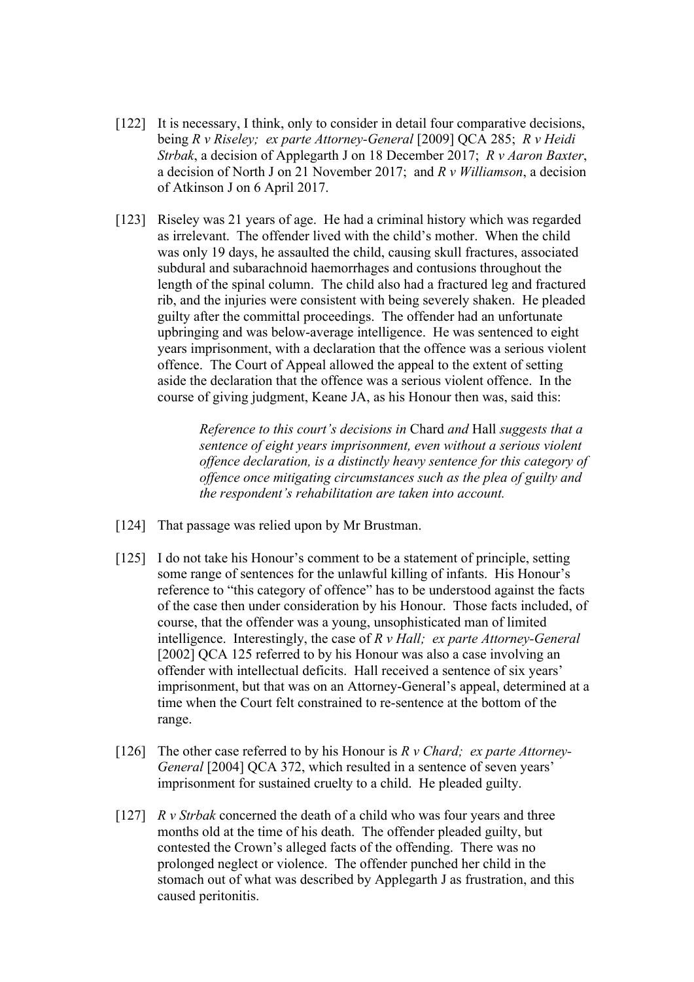- [122] It is necessary, I think, only to consider in detail four comparative decisions, being *R v Riseley; ex parte Attorney-General* [2009] QCA 285; *R v Heidi Strbak*, a decision of Applegarth J on 18 December 2017; *R v Aaron Baxter*, a decision of North J on 21 November 2017; and *R v Williamson*, a decision of Atkinson J on 6 April 2017.
- [123] Riseley was 21 years of age. He had a criminal history which was regarded as irrelevant. The offender lived with the child's mother. When the child was only 19 days, he assaulted the child, causing skull fractures, associated subdural and subarachnoid haemorrhages and contusions throughout the length of the spinal column. The child also had a fractured leg and fractured rib, and the injuries were consistent with being severely shaken. He pleaded guilty after the committal proceedings. The offender had an unfortunate upbringing and was below-average intelligence. He was sentenced to eight years imprisonment, with a declaration that the offence was a serious violent offence. The Court of Appeal allowed the appeal to the extent of setting aside the declaration that the offence was a serious violent offence. In the course of giving judgment, Keane JA, as his Honour then was, said this:

*Reference to this court's decisions in* Chard *and* Hall *suggests that a sentence of eight years imprisonment, even without a serious violent offence declaration, is a distinctly heavy sentence for this category of offence once mitigating circumstances such as the plea of guilty and the respondent's rehabilitation are taken into account.* 

- [124] That passage was relied upon by Mr Brustman.
- [125] I do not take his Honour's comment to be a statement of principle, setting some range of sentences for the unlawful killing of infants. His Honour's reference to "this category of offence" has to be understood against the facts of the case then under consideration by his Honour. Those facts included, of course, that the offender was a young, unsophisticated man of limited intelligence. Interestingly, the case of *R v Hall; ex parte Attorney-General* [2002] QCA 125 referred to by his Honour was also a case involving an offender with intellectual deficits. Hall received a sentence of six years' imprisonment, but that was on an Attorney-General's appeal, determined at a time when the Court felt constrained to re-sentence at the bottom of the range.
- [126] The other case referred to by his Honour is *R v Chard; ex parte Attorney-General* [2004] QCA 372, which resulted in a sentence of seven years' imprisonment for sustained cruelty to a child. He pleaded guilty.
- [127] *R v Strbak* concerned the death of a child who was four years and three months old at the time of his death. The offender pleaded guilty, but contested the Crown's alleged facts of the offending. There was no prolonged neglect or violence. The offender punched her child in the stomach out of what was described by Applegarth J as frustration, and this caused peritonitis.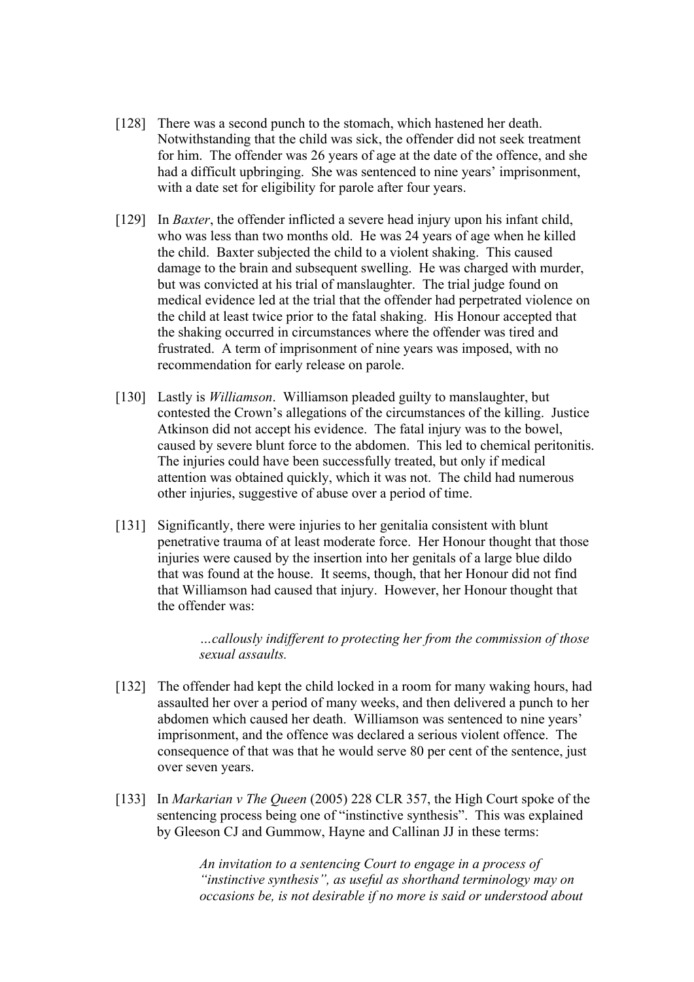- [128] There was a second punch to the stomach, which hastened her death. Notwithstanding that the child was sick, the offender did not seek treatment for him. The offender was 26 years of age at the date of the offence, and she had a difficult upbringing. She was sentenced to nine years' imprisonment, with a date set for eligibility for parole after four years.
- [129] In *Baxter*, the offender inflicted a severe head injury upon his infant child, who was less than two months old. He was 24 years of age when he killed the child. Baxter subjected the child to a violent shaking. This caused damage to the brain and subsequent swelling. He was charged with murder, but was convicted at his trial of manslaughter. The trial judge found on medical evidence led at the trial that the offender had perpetrated violence on the child at least twice prior to the fatal shaking. His Honour accepted that the shaking occurred in circumstances where the offender was tired and frustrated. A term of imprisonment of nine years was imposed, with no recommendation for early release on parole.
- [130] Lastly is *Williamson*. Williamson pleaded guilty to manslaughter, but contested the Crown's allegations of the circumstances of the killing. Justice Atkinson did not accept his evidence. The fatal injury was to the bowel, caused by severe blunt force to the abdomen. This led to chemical peritonitis. The injuries could have been successfully treated, but only if medical attention was obtained quickly, which it was not. The child had numerous other injuries, suggestive of abuse over a period of time.
- [131] Significantly, there were injuries to her genitalia consistent with blunt penetrative trauma of at least moderate force. Her Honour thought that those injuries were caused by the insertion into her genitals of a large blue dildo that was found at the house. It seems, though, that her Honour did not find that Williamson had caused that injury. However, her Honour thought that the offender was:

*…callously indifferent to protecting her from the commission of those sexual assaults.* 

- [132] The offender had kept the child locked in a room for many waking hours, had assaulted her over a period of many weeks, and then delivered a punch to her abdomen which caused her death. Williamson was sentenced to nine years' imprisonment, and the offence was declared a serious violent offence. The consequence of that was that he would serve 80 per cent of the sentence, just over seven years.
- [133] In *Markarian v The Queen* (2005) 228 CLR 357, the High Court spoke of the sentencing process being one of "instinctive synthesis". This was explained by Gleeson CJ and Gummow, Hayne and Callinan JJ in these terms:

*An invitation to a sentencing Court to engage in a process of "instinctive synthesis", as useful as shorthand terminology may on occasions be, is not desirable if no more is said or understood about*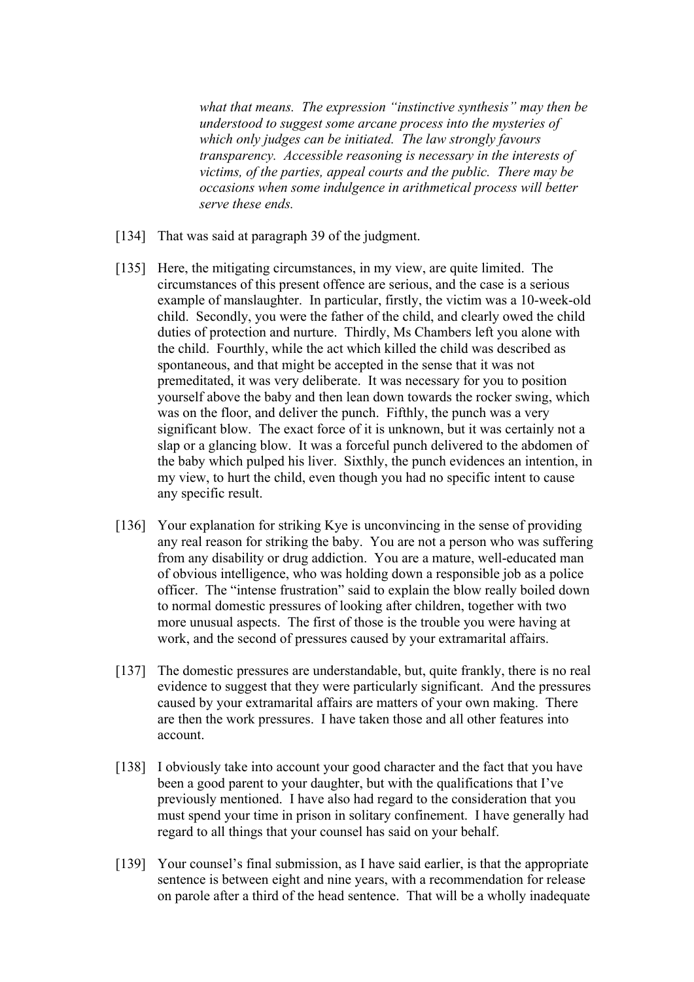*what that means. The expression "instinctive synthesis" may then be understood to suggest some arcane process into the mysteries of which only judges can be initiated. The law strongly favours transparency. Accessible reasoning is necessary in the interests of victims, of the parties, appeal courts and the public. There may be occasions when some indulgence in arithmetical process will better serve these ends.* 

- [134] That was said at paragraph 39 of the judgment.
- [135] Here, the mitigating circumstances, in my view, are quite limited. The circumstances of this present offence are serious, and the case is a serious example of manslaughter. In particular, firstly, the victim was a 10-week-old child. Secondly, you were the father of the child, and clearly owed the child duties of protection and nurture. Thirdly, Ms Chambers left you alone with the child. Fourthly, while the act which killed the child was described as spontaneous, and that might be accepted in the sense that it was not premeditated, it was very deliberate. It was necessary for you to position yourself above the baby and then lean down towards the rocker swing, which was on the floor, and deliver the punch. Fifthly, the punch was a very significant blow. The exact force of it is unknown, but it was certainly not a slap or a glancing blow. It was a forceful punch delivered to the abdomen of the baby which pulped his liver. Sixthly, the punch evidences an intention, in my view, to hurt the child, even though you had no specific intent to cause any specific result.
- [136] Your explanation for striking Kye is unconvincing in the sense of providing any real reason for striking the baby. You are not a person who was suffering from any disability or drug addiction. You are a mature, well-educated man of obvious intelligence, who was holding down a responsible job as a police officer. The "intense frustration" said to explain the blow really boiled down to normal domestic pressures of looking after children, together with two more unusual aspects. The first of those is the trouble you were having at work, and the second of pressures caused by your extramarital affairs.
- [137] The domestic pressures are understandable, but, quite frankly, there is no real evidence to suggest that they were particularly significant. And the pressures caused by your extramarital affairs are matters of your own making. There are then the work pressures. I have taken those and all other features into account.
- [138] I obviously take into account your good character and the fact that you have been a good parent to your daughter, but with the qualifications that I've previously mentioned. I have also had regard to the consideration that you must spend your time in prison in solitary confinement. I have generally had regard to all things that your counsel has said on your behalf.
- [139] Your counsel's final submission, as I have said earlier, is that the appropriate sentence is between eight and nine years, with a recommendation for release on parole after a third of the head sentence. That will be a wholly inadequate